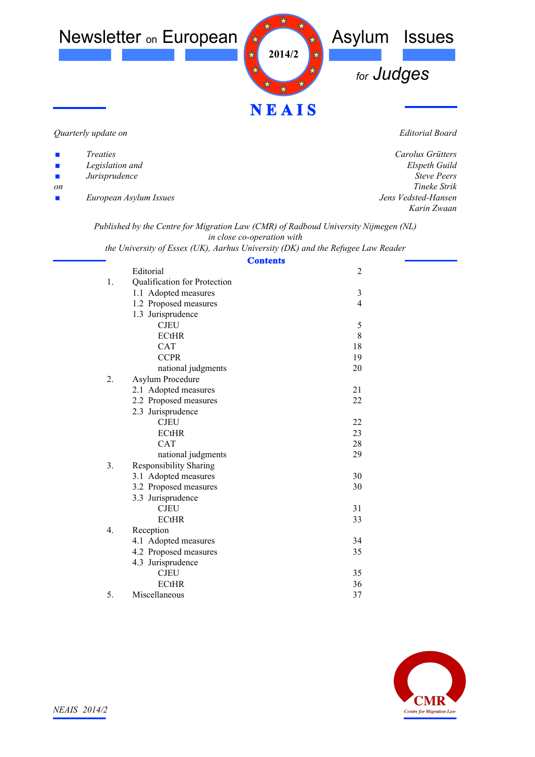

*Quarterly update on*

*Editorial Board*

| $\mathbf{r}$                | <i>Treaties</i>        | Carolus Grütters    |
|-----------------------------|------------------------|---------------------|
| $\mathcal{L}_{\mathcal{A}}$ | Legislation and        | Elspeth Guild       |
| $\mathcal{L}_{\mathcal{A}}$ | Jurisprudence          | <b>Steve Peers</b>  |
| <sub>on</sub>               |                        | Tineke Strik        |
| $\mathcal{L}_{\mathcal{A}}$ | European Asylum Issues | Jens Vedsted-Hansen |
|                             |                        | Karin Zwaan         |
|                             |                        |                     |

*Published by the Centre for Migration Law (CMR) of Radboud University Nijmegen (NL) in close co-operation with*

*the University of Essex (UK), Aarhus University (DK) and the Refugee Law Reader*

|                |                               | <b>Contents</b> |  |
|----------------|-------------------------------|-----------------|--|
|                | Editorial                     | $\overline{2}$  |  |
| 1.             | Qualification for Protection  |                 |  |
|                | 1.1 Adopted measures          | $\mathfrak{Z}$  |  |
|                | 1.2 Proposed measures         | $\overline{4}$  |  |
|                | 1.3 Jurisprudence             |                 |  |
|                | <b>CJEU</b>                   | 5               |  |
|                | <b>ECtHR</b>                  | 8               |  |
|                | <b>CAT</b>                    | 18              |  |
|                | <b>CCPR</b>                   | 19              |  |
|                | national judgments            | 20              |  |
| 2.             | Asylum Procedure              |                 |  |
|                | 2.1 Adopted measures          | 21              |  |
|                | 2.2 Proposed measures         | 22              |  |
|                | 2.3 Jurisprudence             |                 |  |
|                | <b>CJEU</b>                   | 22              |  |
|                | <b>ECtHR</b>                  | 23              |  |
|                | <b>CAT</b>                    | 28              |  |
|                | national judgments            | 29              |  |
| 3 <sub>1</sub> | <b>Responsibility Sharing</b> |                 |  |
|                | 3.1 Adopted measures          | 30              |  |
|                | 3.2 Proposed measures         | 30              |  |
|                | 3.3 Jurisprudence             |                 |  |
|                | <b>CJEU</b>                   | 31              |  |
|                | <b>ECtHR</b>                  | 33              |  |
| 4.             | Reception                     |                 |  |
|                | 4.1 Adopted measures          | 34              |  |
|                | 4.2 Proposed measures         | 35              |  |
|                | 4.3 Jurisprudence             |                 |  |
|                | <b>CJEU</b>                   | 35              |  |
|                | <b>ECtHR</b>                  | 36              |  |
| 5.             | Miscellaneous                 | 37              |  |

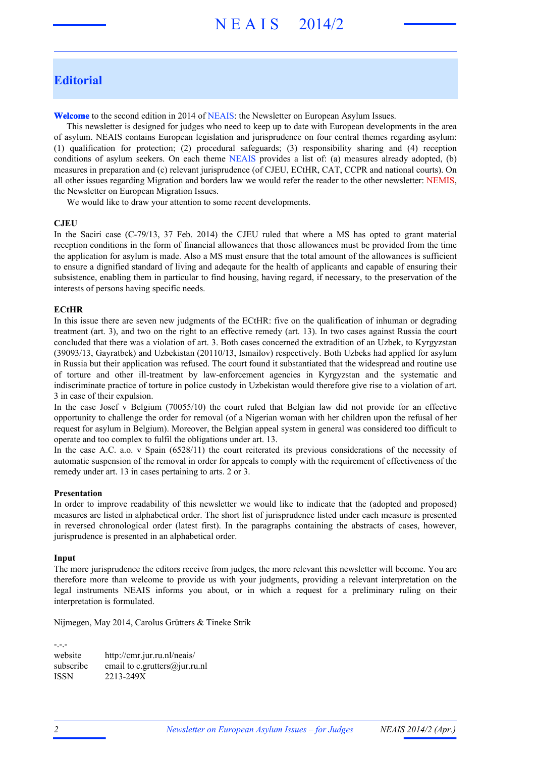# N E A I S 2014/2

# **Editorial**

**Welcome** to the second edition in 2014 of NEAIS: the Newsletter on European Asylum Issues.

This newsletter is designed for judges who need to keep up to date with European developments in the area of asylum. NEAIS contains European legislation and jurisprudence on four central themes regarding asylum: (1) qualification for protection; (2) procedural safeguards; (3) responsibility sharing and (4) reception conditions of asylum seekers. On each theme NEAIS provides a list of: (a) measures already adopted, (b) measures in preparation and (c) relevant jurisprudence (of CJEU, ECtHR, CAT, CCPR and national courts). On all other issues regarding Migration and borders law we would refer the reader to the other newsletter: NEMIS, the Newsletter on European Migration Issues.

We would like to draw your attention to some recent developments.

#### **CJEU**

In the Saciri case (C-79/13, 37 Feb. 2014) the CJEU ruled that where a MS has opted to grant material reception conditions in the form of financial allowances that those allowances must be provided from the time the application for asylum is made. Also a MS must ensure that the total amount of the allowances is sufficient to ensure a dignified standard of living and adeqaute for the health of applicants and capable of ensuring their subsistence, enabling them in particular to find housing, having regard, if necessary, to the preservation of the interests of persons having specific needs.

#### **ECtHR**

In this issue there are seven new judgments of the ECtHR: five on the qualification of inhuman or degrading treatment (art. 3), and two on the right to an effective remedy (art. 13). In two cases against Russia the court concluded that there was a violation of art. 3. Both cases concerned the extradition of an Uzbek, to Kyrgyzstan (39093/13, Gayratbek) and Uzbekistan (20110/13, Ismailov) respectively. Both Uzbeks had applied for asylum in Russia but their application was refused. The court found it substantiated that the widespread and routine use of torture and other ill-treatment by law-enforcement agencies in Kyrgyzstan and the systematic and indiscriminate practice of torture in police custody in Uzbekistan would therefore give rise to a violation of art. 3 in case of their expulsion.

In the case Josef v Belgium (70055/10) the court ruled that Belgian law did not provide for an effective opportunity to challenge the order for removal (of a Nigerian woman with her children upon the refusal of her request for asylum in Belgium). Moreover, the Belgian appeal system in general was considered too difficult to operate and too complex to fulfil the obligations under art. 13.

In the case A.C. a.o. v Spain (6528/11) the court reiterated its previous considerations of the necessity of automatic suspension of the removal in order for appeals to comply with the requirement of effectiveness of the remedy under art. 13 in cases pertaining to arts. 2 or 3.

#### **Presentation**

In order to improve readability of this newsletter we would like to indicate that the (adopted and proposed) measures are listed in alphabetical order. The short list of jurisprudence listed under each measure is presented in reversed chronological order (latest first). In the paragraphs containing the abstracts of cases, however, jurisprudence is presented in an alphabetical order.

#### **Input**

The more jurisprudence the editors receive from judges, the more relevant this newsletter will become. You are therefore more than welcome to provide us with your judgments, providing a relevant interpretation on the legal instruments NEAIS informs you about, or in which a request for a preliminary ruling on their interpretation is formulated.

Nijmegen, May 2014, Carolus Grütters & Tineke Strik

-.-. website http://cmr.jur.ru.nl/neais/ subscribe email to c. grutters@jur.ru.nl ISSN 2213-249X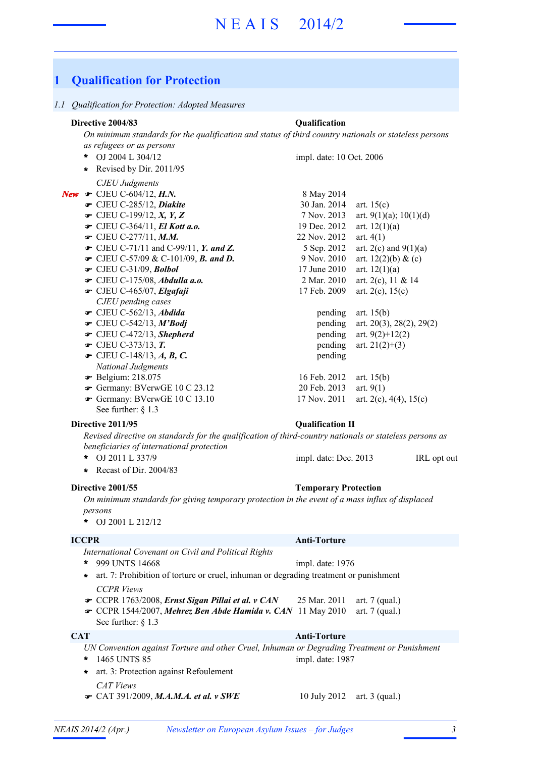# **1 Qualification for Protection**

#### *1.1 Qualification for Protection: Adopted Measures*

# **Directive 2004/83 Qualification**

*On minimum standards for the qualification and status of third country nationals or stateless persons as refugees or as persons*

- OJ 2004 L 304/12 **\*** *CJEU Judgments* **New**  $\bullet$  CJEU C-604/12, **H.N.** 8 May 2014 **■** CJEU C-285/12, *Diakite* 30 Jan. 2014 art. 15(c)  $\bullet$  CJEU C-199/12, *X*, *Y*, *Z* 7 Nov. 2013 art. 9(1)(a); 10(1)(d)  $\bullet$  CJEU C-364/11, *El Kott a.o.* 19 Dec. 2012 art. 12(1)(a)  $\bullet$  CJEU C-277/11, *M.M.* 22 Nov. 2012 art. 4(1) • CJEU C-71/11 and C-99/11, *Y. and Z.* 5 Sep. 2012 art. 2(c) and 9(1)(a) • CJEU C-57/09 & C-101/09, *B. and D.* 9 Nov. 2010 art. 12(2)(b) & (c) **■** CJEU C-31/09, *Bolbol* 17 June 2010 art. 12(1)(a)  $\bullet$  CJEU C-175/08, *Abdulla a.o.* 2 Mar. 2010 art. 2(c), 11 & 14 **■** CJEU C-465/07, *Elgafaji* 17 Feb. 2009 art. 2(e), 15(c) *CJEU pending cases* • CJEU C-562/13, *Abdida* pending art. 15(b)  $\bullet$  CJEU C-542/13, *M'Bodj* pending art. 20(3), 28(2), 29(2)  $\bullet$  CJEU C-472/13, *Shepherd* pending art. 9(2)+12(2)  $\bullet$  CJEU C-373/13, **T.** pending art. 21(2)+(3)  $\bullet$  CJEU C-148/13, *A*, *B*, *C*. pending *National Judgments* • Belgium: 218.075 16 Feb. 2012 art. 15(b) **■** Germany: BVerwGE 10 C 23.12 20 Feb. 2013 art. 9(1) impl. date: 10 Oct. 2006 **\*** Revised by Dir. 2011/95
	- Germany: BVerwGE 10 C 13.10 17 Nov. 2011 art. 2(e), 4(4), 15(c) See further: § 1.3

#### **Directive 2011/95 Qualification II**

*Revised directive on standards for the qualification of third-country nationals or stateless persons as beneficiaries of international protection*

- **\*** OJ 2011 L 337/9 UK, IRL opt out
- **\*** Recast of Dir. 2004/83

### **Directive 2001/55 Temporary Protection**

*On minimum standards for giving temporary protection in the event of a mass influx of displaced persons*

OJ 2001 L 212/12 **\***

#### **ICCPR Anti-Torture**

- *International Covenant on Civil and Political Rights*
- 999 UNTS 14668 **\*** impl. date: 1976
- *CCPR Views* **\*** art. 7: Prohibition of torture or cruel, inhuman or degrading treatment or punishment
- CCPR 1763/2008, *Ernst Sigan Pillai et al. v CAN* 25 Mar. 2011 art. 7 (qual.)
- CCPR 1544/2007, Mehrez Ben Abde Hamida v. CAN 11 May 2010 art. 7 (qual.)
- See further: § 1.3

# **CAT Anti-Torture**

*UN Convention against Torture and other Cruel, Inhuman or Degrading Treatment or Punishment* 1465 UNTS 85 **\*** impl. date: 1987

*CAT Views* • CAT 391/2009, *M.A.M.A. et al. v SWE* 10 July 2012 art. 3 (qual.) **\*** art. 3: Protection against Refoulement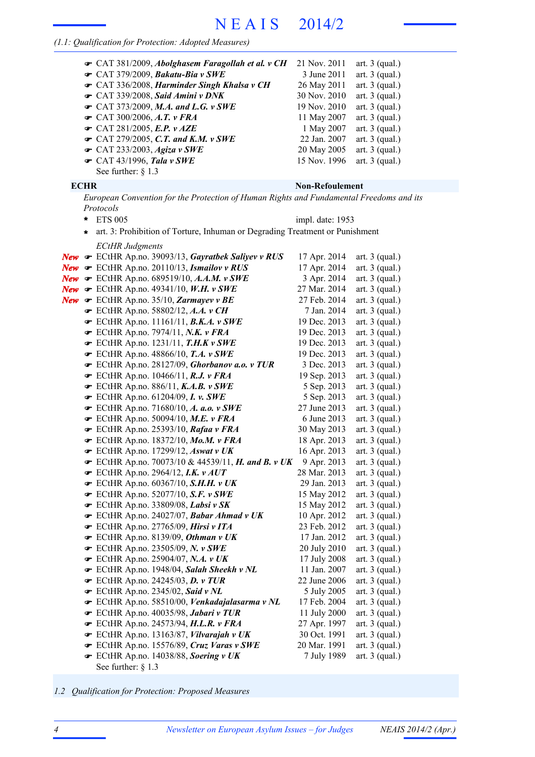## *(1.1: Qualification for Protection: Adopted Measures)*

| The CAT 381/2009, Abolghasem Faragollah et al. v CH | 21 Nov. 2011 | art. $3$ (qual.) |
|-----------------------------------------------------|--------------|------------------|
| $\bullet$ CAT 379/2009, Bakatu-Bia v SWE            | 3 June 2011  | art. $3$ (qual.) |
| ← CAT 336/2008, Harminder Singh Khalsa v CH         | 26 May 2011  | art. $3$ (qual.) |
| $\bullet$ CAT 339/2008, Said Amini v DNK            | 30 Nov. 2010 | art. $3$ (qual.) |
| $\bullet$ CAT 373/2009, M.A. and L.G. v SWE         | 19 Nov. 2010 | art. $3$ (qual.) |
| $\bullet$ CAT 300/2006, A.T. v FRA                  | 11 May 2007  | art. $3$ (qual.) |
| CAT 281/2005, E.P. v AZE                            | 1 May 2007   | art. $3$ (qual.) |
| $\bullet$ CAT 279/2005, C.T. and K.M. v SWE         | 22 Jan. 2007 | art. $3$ (qual.) |
| $\bullet$ CAT 233/2003, Agiza v SWE                 | 20 May 2005  | art. $3$ (qual.) |
| $\bullet$ CAT 43/1996, Tala v SWE                   | 15 Nov. 1996 | art. $3$ (qual.) |
| See further: $§$ 1.3                                |              |                  |

**\***

ETS 005

# **ECHR Non-Refoulement**

impl. date: 1953

*European Convention for the Protection of Human Rights and Fundamental Freedoms and its Protocols*

**\*** art. 3: Prohibition of Torture, Inhuman or Degrading Treatment or Punishment

| <b>ECtHR</b> Judgments                                                  |              |                  |
|-------------------------------------------------------------------------|--------------|------------------|
| New • ECtHR Ap.no. 39093/13, Gayratbek Saliyev v RUS                    | 17 Apr. 2014 | art. $3$ (qual.) |
| <b>New</b> $\mathcal F$ ECtHR Ap.no. 20110/13, <b>Ismailov v RUS</b>    | 17 Apr. 2014 | art. $3$ (qual.) |
| <b>New</b> $\bullet$ ECtHR Ap.no. 689519/10, A.A.M. v SWE               | 3 Apr. 2014  | art. $3$ (qual.) |
| New $\bullet$ ECtHR Ap.no. 49341/10, W.H. v SWE                         | 27 Mar. 2014 | art. $3$ (qual.) |
| <b>New</b> $\mathcal F$ ECtHR Ap.no. 35/10, <b>Zarmayev</b> v <b>BE</b> | 27 Feb. 2014 | art. $3$ (qual.) |
| ECtHR Ap.no. 58802/12, A.A. v CH                                        | 7 Jan. 2014  | art. $3$ (qual.) |
| $\bullet$ ECtHR Ap.no. 11161/11, B.K.A. v SWE                           | 19 Dec. 2013 | art. $3$ (qual.) |
| ECtHR Ap.no. 7974/11, N.K. v FRA                                        | 19 Dec. 2013 | art. $3$ (qual.) |
| ECtHR Ap.no. 1231/11, $T.H.K v SWE$                                     | 19 Dec. 2013 | art. $3$ (qual.) |
| ECtHR Ap.no. 48866/10, T.A. v SWE                                       | 19 Dec. 2013 | art. $3$ (qual.) |
| ECtHR Ap.no. 28127/09, Ghorbanov a.o. v TUR                             | 3 Dec. 2013  | art. $3$ (qual.) |
| $\bullet$ ECtHR Ap.no. 10466/11, R.J. v FRA                             | 19 Sep. 2013 | art. 3 (qual.)   |
| $\bullet$ ECtHR Ap.no. 886/11, K.A.B. v SWE                             | 5 Sep. 2013  | art. $3$ (qual.) |
| $\bullet$ ECtHR Ap.no. 61204/09, I. v. SWE                              | 5 Sep. 2013  | art. $3$ (qual.) |
| ECtHR Ap.no. 71680/10, A. a.o. $v$ SWE                                  | 27 June 2013 | art. $3$ (qual.) |
| ECtHR Ap.no. 50094/10, M.E. v FRA                                       | 6 June 2013  | art. $3$ (qual.) |
| ECtHR Ap.no. 25393/10, Rafaa v FRA                                      | 30 May 2013  | art. $3$ (qual.) |
| <b>■</b> ECtHR Ap.no. 18372/10, Mo.M. v FRA                             | 18 Apr. 2013 | art. $3$ (qual.) |
| ECtHR Ap.no. 17299/12, Aswat v UK                                       | 16 Apr. 2013 | art. $3$ (qual.) |
| ECtHR Ap.no. 70073/10 & 44539/11, H. and B. v UK                        | 9 Apr. 2013  | art. $3$ (qual.) |
| $\bullet$ ECtHR Ap.no. 2964/12, I.K. $v$ AUT                            | 28 Mar. 2013 | art. $3$ (qual.) |
| • ECtHR Ap.no. 60367/10, S.H.H. v UK                                    | 29 Jan. 2013 | art. $3$ (qual.) |
| $\bullet$ ECtHR Ap.no. 52077/10, S.F. v SWE                             | 15 May 2012  | art. $3$ (qual.) |
| $\bullet$ ECtHR Ap.no. 33809/08, Labsi v SK                             | 15 May 2012  | art. $3$ (qual.) |
| ECtHR Ap.no. 24027/07, Babar Ahmad v UK                                 | 10 Apr. 2012 | art. $3$ (qual.) |
| FCtHR Ap.no. 27765/09, Hirsi v ITA                                      | 23 Feb. 2012 | art. $3$ (qual.) |
| ECtHR Ap.no. 8139/09, Othman v UK                                       | 17 Jan. 2012 | art. $3$ (qual.) |
| • ECtHR Ap.no. 23505/09, N. v SWE                                       | 20 July 2010 | art. $3$ (qual.) |
| $\bullet$ ECtHR Ap.no. 25904/07, N.A. v UK                              | 17 July 2008 | art. $3$ (qual.) |
| F ECtHR Ap.no. 1948/04, Salah Sheekh v NL                               | 11 Jan. 2007 | art. $3$ (qual.) |
| $\bullet$ ECtHR Ap.no. 24245/03, D. v TUR                               | 22 June 2006 | art. $3$ (qual.) |
| $\bullet$ ECtHR Ap.no. 2345/02, Said v NL                               | 5 July 2005  | art. $3$ (qual.) |
| ECtHR Ap.no. 58510/00, Venkadajalasarma v NL                            | 17 Feb. 2004 | art. $3$ (qual.) |
| ECtHR Ap.no. 40035/98, Jabari v TUR                                     | 11 July 2000 | art. $3$ (qual.) |
| ECtHR Ap.no. 24573/94, H.L.R. v FRA                                     | 27 Apr. 1997 | art. $3$ (qual.) |
| ECtHR Ap.no. 13163/87, Vilvarajah v UK                                  | 30 Oct. 1991 | art. $3$ (qual.) |
| F ECtHR Ap.no. 15576/89, Cruz Varas v SWE                               | 20 Mar. 1991 | art. $3$ (qual.) |
| ECtHR Ap.no. 14038/88, Soering v UK                                     | 7 July 1989  | art. $3$ (qual.) |
| See further: $\S$ 1.3                                                   |              |                  |

*1.2 Qualification for Protection: Proposed Measures*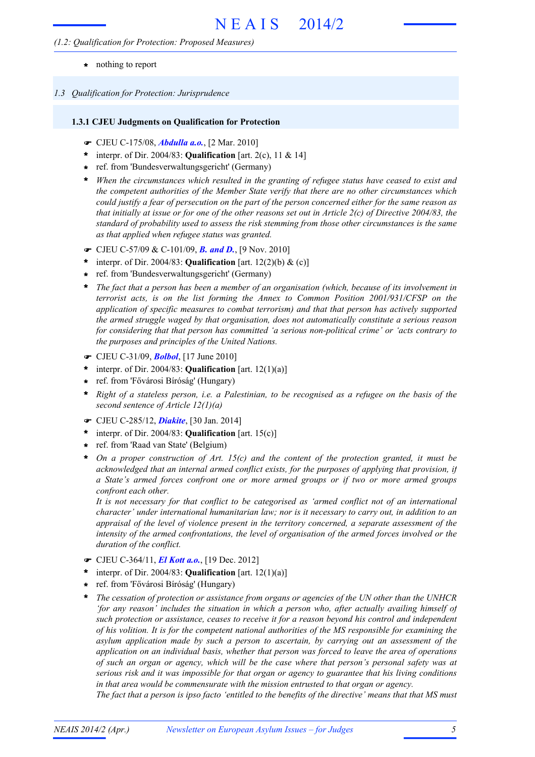## *(1.2: Qualification for Protection: Proposed Measures)*

- **\*** nothing to report
- *1.3 Qualification for Protection: Jurisprudence*

# **1.3.1 CJEU Judgments on Qualification for Protection**

- F CJEU C-175/08, *Abdulla a.o.*, [2 Mar. 2010]
- interpr. of Dir. 2004/83: **Qualification** [art. 2(c), 11 & 14] **\***
- ref. from 'Bundesverwaltungsgericht' (Germany) **\***
- *When the circumstances which resulted in the granting of refugee status have ceased to exist and* **\*** *the competent authorities of the Member State verify that there are no other circumstances which* could justify a fear of persecution on the part of the person concerned either for the same reason as that initially at issue or for one of the other reasons set out in Article  $2(c)$  of Directive 2004/83, the *standard of probability used to assess the risk stemming from those other circumstances is the same as that applied when refugee status was granted.*
- F CJEU C-57/09 & C-101/09, *B. and D.*, [9 Nov. 2010]
- \* interpr. of Dir. 2004/83: **Qualification** [art.  $12(2)(b) \&$  (c)]
- ref. from 'Bundesverwaltungsgericht' (Germany) **\***
- *The fact that a person has been a member of an organisation (which, because of its involvement in terrorist acts, is on the list forming the Annex to Common Position 2001/931/CFSP on the application of specific measures to combat terrorism) and that that person has actively supported the armed struggle waged by that organisation, does not automatically constitute a serious reason for considering that that person has committed 'a serious non-political crime' or 'acts contrary to the purposes and principles of the United Nations.* **\***
- F CJEU C-31/09, *Bolbol*, [17 June 2010]
- \* interpr. of Dir. 2004/83: **Qualification** [art.  $12(1)(a)$ ]
- ref. from 'Fővárosi Bíróság' (Hungary) **\***
- Right of a stateless person, i.e. a Palestinian, to be recognised as a refugee on the basis of the *second sentence of Article 12(1)(a)* **\***
- F CJEU C-285/12, *Diakite*, [30 Jan. 2014]
- interpr. of Dir. 2004/83: **Qualification** [art. 15(c)] **\***
- ref. from 'Raad van State' (Belgium) **\***
- *On a proper construction of Art. 15(c) and the content of the protection granted, it must be acknowledged that an internal armed conflict exists, for the purposes of applying that provision, if a State's armed forces confront one or more armed groups or if two or more armed groups confront each other.* **\***

*It is not necessary for that conflict to be categorised as 'armed conflict not of an international character' under international humanitarian law; nor is it necessary to carry out, in addition to an appraisal of the level of violence present in the territory concerned, a separate assessment of the intensity of the armed confrontations, the level of organisation of the armed forces involved or the duration of the conflict.*

- F CJEU C-364/11, *El Kott a.o.*, [19 Dec. 2012]
- interpr. of Dir. 2004/83: **Qualification** [art. 12(1)(a)] **\***
- ref. from 'Fővárosi Bíróság' (Hungary) **\***
- *The cessation of protection or assistance from organs or agencies of the UN other than the UNHCR 'for any reason' includes the situation in which a person who, after actually availing himself of such protection or assistance, ceases to receive it for a reason beyond his control and independent of his volition. It is for the competent national authorities of the MS responsible for examining the asylum application made by such a person to ascertain, by carrying out an assessment of the application on an individual basis, whether that person was forced to leave the area of operations of such an organ or agency, which will be the case where that person's personal safety was at serious risk and it was impossible for that organ or agency to guarantee that his living conditions in that area would be commensurate with the mission entrusted to that organ or agency.* **\***

The fact that a person is ipso facto 'entitled to the benefits of the directive' means that that MS must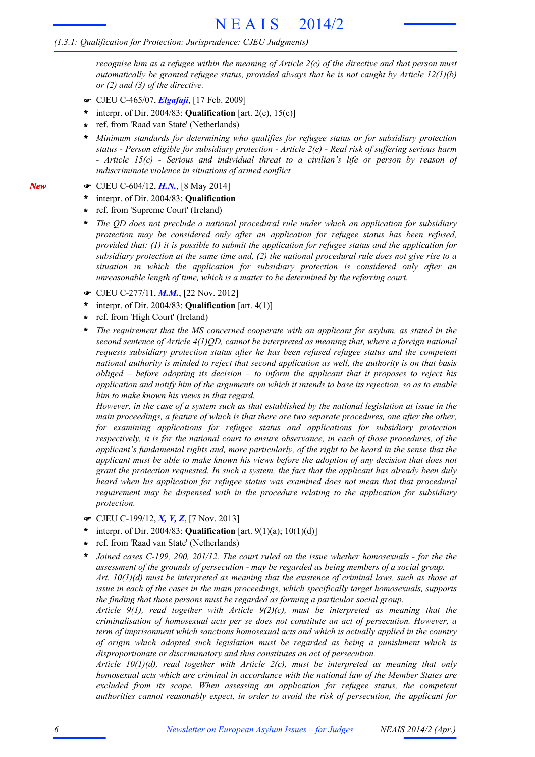recognise him as a refugee within the meaning of Article  $2(c)$  of the directive and that person must *automatically be granted refugee status, provided always that he is not caught by Article 12(1)(b) or (2) and (3) of the directive.*

- F CJEU C-465/07, *Elgafaji*, [17 Feb. 2009]
- $*$  interpr. of Dir. 2004/83: **Qualification** [art. 2(e), 15(c)]
- ref. from 'Raad van State' (Netherlands) **\***
- *Minimum standards for determining who qualifies for refugee status or for subsidiary protection status - Person eligible for subsidiary protection - Article 2(e) - Real risk of suffering serious harm - Article 15(c) - Serious and individual threat to a civilian's life or person by reason of indiscriminate violence in situations of armed conflict* **\***
- F CJEU C-604/12, *H.N.*, [8 May 2014]
- interpr. of Dir. 2004/83: **Qualification \***
- ref. from 'Supreme Court' (Ireland) **\***
- *The QD does not preclude a national procedural rule under which an application for subsidiary protection may be considered only after an application for refugee status has been refused, provided that: (1) it is possible to submit the application for refugee status and the application for* subsidiary protection at the same time and,  $(2)$  the national procedural rule does not give rise to a *situation in which the application for subsidiary protection is considered only after an unreasonable length of time, which is a matter to be determined by the referring court.* **\***
- F CJEU C-277/11, *M.M.*, [22 Nov. 2012]
- interpr. of Dir. 2004/83: **Qualification** [art. 4(1)] **\***
- ref. from 'High Court' (Ireland) **\***
- *The requirement that the MS concerned cooperate with an applicant for asylum, as stated in the second sentence of Article 4(1)QD, cannot be interpreted as meaning that, where a foreign national requests subsidiary protection status after he has been refused refugee status and the competent national authority is minded to reject that second application as well, the authority is on that basis obliged – before adopting its decision – to inform the applicant that it proposes to reject his* application and notify him of the arguments on which it intends to base its rejection, so as to enable *him to make known his views in that regard.* **\***

However, in the case of a system such as that established by the national legislation at issue in the *main proceedings, a feature of which is that there are two separate procedures, one after the other, for examining applications for refugee status and applications for subsidiary protection respectively, it is for the national court to ensure observance, in each of those procedures, of the applicant's fundamental rights and, more particularly, of the right to be heard in the sense that the applicant must be able to make known his views before the adoption of any decision that does not grant the protection requested. In such a system, the fact that the applicant has already been duly heard when his application for refugee status was examined does not mean that that procedural requirement may be dispensed with in the procedure relating to the application for subsidiary protection.*

- F CJEU C-199/12, *X, Y, Z*, [7 Nov. 2013]
- interpr. of Dir. 2004/83: **Qualification** [art. 9(1)(a); 10(1)(d)] **\***
- ref. from 'Raad van State' (Netherlands) **\***
- *Joined cases C-199, 200, 201/12. The court ruled on the issue whether homosexuals - for the the assessment of the grounds of persecution - may be regarded as being members of a social group. Art. 10(1)(d) must be interpreted as meaning that the existence of criminal laws, such as those at issue in each of the cases in the main proceedings, which specifically target homosexuals, supports the finding that those persons must be regarded as forming a particular social group.* **\***

*Article 9(1), read together with Article 9(2)(c), must be interpreted as meaning that the criminalisation of homosexual acts per se does not constitute an act of persecution. However, a term of imprisonment which sanctions homosexual acts and which is actually applied in the country of origin which adopted such legislation must be regarded as being a punishment which is disproportionate or discriminatory and thus constitutes an act of persecution.*

*Article 10(1)(d), read together with Article 2(c), must be interpreted as meaning that only homosexual acts which are criminal in accordance with the national law of the Member States are excluded from its scope. When assessing an application for refugee status, the competent authorities cannot reasonably expect, in order to avoid the risk of persecution, the applicant for*

*New*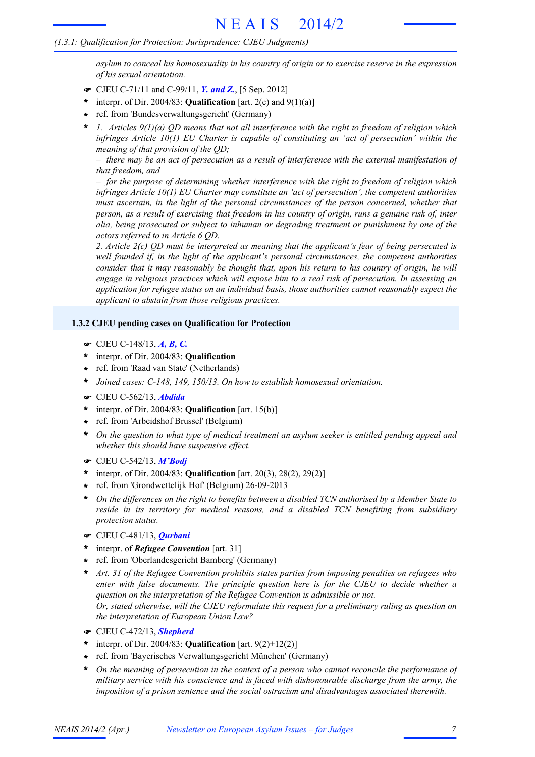*asylum to conceal his homosexuality in his country of origin or to exercise reserve in the expression of his sexual orientation.*

- F CJEU C-71/11 and C-99/11, *Y. and Z.*, [5 Sep. 2012]
- \* interpr. of Dir. 2004/83: **Qualification** [art. 2(c) and  $9(1)(a)$ ]
- ref. from 'Bundesverwaltungsgericht' (Germany) **\***
- *1. Articles 9(1)(a) QD means that not all interference with the right to freedom of religion which infringes Article 10(1) EU Charter is capable of constituting an 'act of persecution' within the meaning of that provision of the QD;* **\***

 $-$  there may be an act of persecution as a result of interference with the external manifestation of *that freedom, and*

*– for the purpose of determining whether interference with the right to freedom of religion which infringes Article 10(1) EU Charter may constitute an 'act of persecution', the competent authorities must ascertain, in the light of the personal circumstances of the person concerned, whether that* person, as a result of exercising that freedom in his country of origin, runs a genuine risk of, inter *alia, being prosecuted or subject to inhuman or degrading treatment or punishment by one of the actors referred to in Article 6 QD.*

*2. Article 2(c) QD must be interpreted as meaning that the applicant's fear of being persecuted is well founded if, in the light of the applicant's personal circumstances, the competent authorities consider that it may reasonably be thought that, upon his return to his country of origin, he will engage in religious practices which will expose him to a real risk of persecution. In assessing an application for refugee status on an individual basis, those authorities cannot reasonably expect the applicant to abstain from those religious practices.*

# **1.3.2 CJEU pending cases on Qualification for Protection**

- F CJEU C-148/13, *A, B, C.*
- interpr. of Dir. 2004/83: **Qualification \***
- ref. from 'Raad van State' (Netherlands) **\***
- **\*** *Joined cases: C-148, 149, 150/13. On how to establish homosexual orientation.*
- F CJEU C-562/13, *Abdida*
- interpr. of Dir. 2004/83: **Qualification** [art. 15(b)] **\***
- ref. from 'Arbeidshof Brussel' (Belgium) **\***
- *On the question to what type of medical treatment an asylum seeker is entitled pending appeal and whether this should have suspensive effect.* **\***
- F CJEU C-542/13, *M'Bodj*
- interpr. of Dir. 2004/83: **Qualification** [art. 20(3), 28(2), 29(2)] **\***
- ref. from 'Grondwettelijk Hof' (Belgium) 26-09-2013 **\***
- \* On the differences on the right to benefits between a disabled TCN authorised by a Member State to *reside in its territory for medical reasons, and a disabled TCN benefiting from subsidiary protection status.*
- F CJEU C-481/13, *Qurbani*
- interpr. of *Refugee Convention* [art. 31] **\***
- ref. from 'Oberlandesgericht Bamberg' (Germany) **\***
- *Art. 31 of the Refugee Convention prohibits states parties from imposing penalties on refugees who enter with false documents. The principle question here is for the CJEU to decide whether a question on the interpretation of the Refugee Convention is admissible or not. Or, stated otherwise, will the CJEU reformulate this request for a preliminary ruling as question on the interpretation of European Union Law?* **\***
- F CJEU C-472/13, *Shepherd*
- \* interpr. of Dir. 2004/83: **Qualification** [art.  $9(2)+12(2)$ ]
- ref. from 'Bayerisches Verwaltungsgericht München' (Germany) **\***
- *On the meaning of persecution in the context of a person who cannot reconcile the performance of military service with his conscience and is faced with dishonourable discharge from the army, the imposition of a prison sentence and the social ostracism and disadvantages associated therewith.* **\***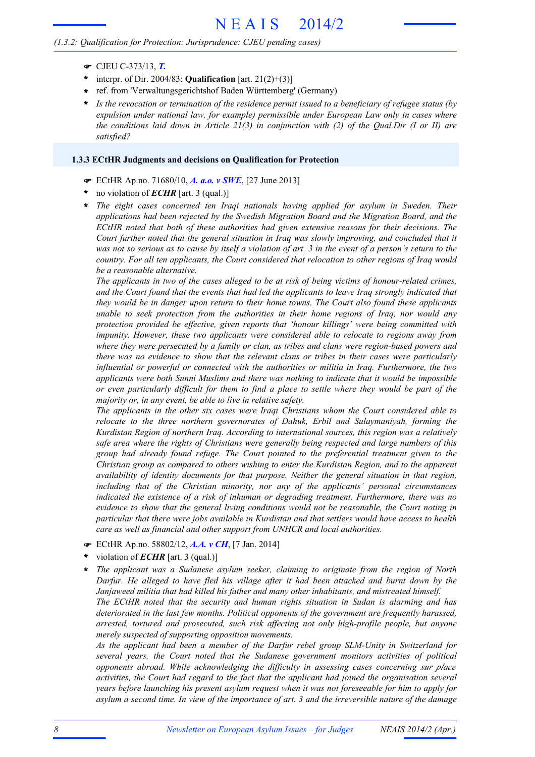# *(1.3.2: Qualification for Protection: Jurisprudence: CJEU pending cases)*

- F CJEU C-373/13, *T.*
- interpr. of Dir. 2004/83: **Qualification** [art. 21(2)+(3)] **\***
- ref. from 'Verwaltungsgerichtshof Baden Württemberg' (Germany) **\***
- *Is the revocation or termination of the residence permit issued to a beneficiary of refugee status (by expulsion under national law, for example) permissible under European Law only in cases where the conditions laid down in Article 21(3) in conjunction with (2) of the Qual.Dir (I or II) are satisfied?* **\***

### **1.3.3 ECtHR Judgments and decisions on Qualification for Protection**

- F ECtHR Ap.no. 71680/10, *A. a.o. v SWE*, [27 June 2013]
- no violation of *ECHR* [art. 3 (qual.)] **\***
- *The eight cases concerned ten Iraqi nationals having applied for asylum in Sweden. Their applications had been rejected by the Swedish Migration Board and the Migration Board, and the ECtHR noted that both of these authorities had given extensive reasons for their decisions. The Court further noted that the general situation in Iraq was slowly improving, and concluded that it* was not so serious as to cause by itself a violation of art. 3 in the event of a person's return to the *country. For all ten applicants, the Court considered that relocation to other regions of Iraq would be a reasonable alternative.* **\***

The applicants in two of the cases alleged to be at risk of being victims of honour-related crimes, and the Court found that the events that had led the applicants to leave Iraq strongly indicated that *they would be in danger upon return to their home towns. The Court also found these applicants unable to seek protection from the authorities in their home regions of Iraq, nor would any protection provided be effective, given reports that 'honour killings' were being committed with impunity. However, these two applicants were considered able to relocate to regions away from where they were persecuted by a family or clan, as tribes and clans were region-based powers and there was no evidence to show that the relevant clans or tribes in their cases were particularly influential or powerful or connected with the authorities or militia in Iraq. Furthermore, the two applicants were both Sunni Muslims and there was nothing to indicate that it would be impossible* or even particularly difficult for them to find a place to settle where they would be part of the *majority or, in any event, be able to live in relative safety.*

*The applicants in the other six cases were Iraqi Christians whom the Court considered able to relocate to the three northern governorates of Dahuk, Erbil and Sulaymaniyah, forming the Kurdistan Region of northern Iraq. According to international sources, this region was a relatively safe area where the rights of Christians were generally being respected and large numbers of this group had already found refuge. The Court pointed to the preferential treatment given to the Christian group as compared to others wishing to enter the Kurdistan Region, and to the apparent availability of identity documents for that purpose. Neither the general situation in that region, including that of the Christian minority, nor any of the applicants' personal circumstances indicated the existence of a risk of inhuman or degrading treatment. Furthermore, there was no evidence to show that the general living conditions would not be reasonable, the Court noting in particular that there were jobs available in Kurdistan and that settlers would have access to health care as well as financial and other support from UNHCR and local authorities.*

- F ECtHR Ap.no. 58802/12, *A.A. v CH*, [7 Jan. 2014]
- violation of *ECHR* [art. 3 (qual.)] **\***
- *The applicant was a Sudanese asylum seeker, claiming to originate from the region of North Darfur. He alleged to have fled his village after it had been attacked and burnt down by the Janjaweed militia that had killed his father and many other inhabitants, and mistreated himself. The ECtHR noted that the security and human rights situation in Sudan is alarming and has deteriorated in the last few months. Political opponents of the government are frequently harassed, arrested, tortured and prosecuted, such risk affecting not only high-profile people, but anyone merely suspected of supporting opposition movements.* **\***

*As the applicant had been a member of the Darfur rebel group SLM-Unity in Switzerland for several years, the Court noted that the Sudanese government monitors activities of political opponents abroad. While acknowledging the difficulty in assessing cases concerning sur place activities, the Court had regard to the fact that the applicant had joined the organisation several years before launching his present asylum request when it was not foreseeable for him to apply for* asylum a second time. In view of the importance of art. 3 and the irreversible nature of the damage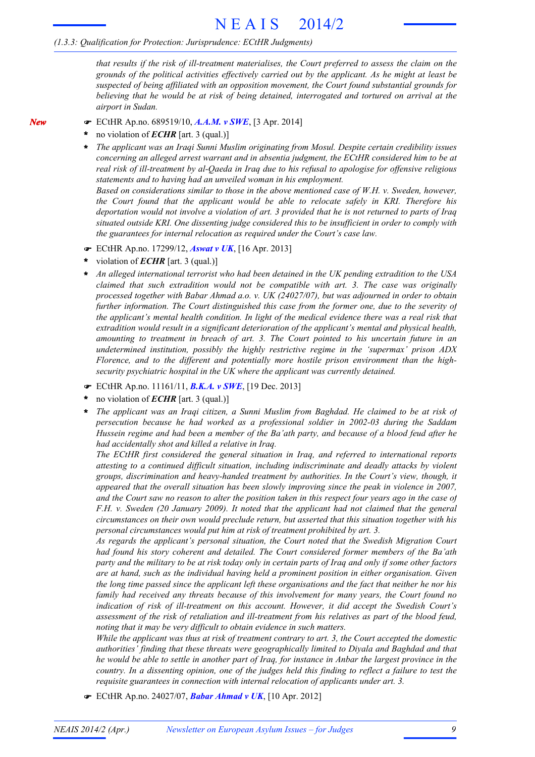*that results if the risk of ill-treatment materialises, the Court preferred to assess the claim on the grounds of the political activities effectively carried out by the applicant. As he might at least be suspected of being affiliated with an opposition movement, the Court found substantial grounds for believing that he would be at risk of being detained, interrogated and tortured on arrival at the airport in Sudan.*

- F ECtHR Ap.no. 689519/10, *A.A.M. v SWE*, [3 Apr. 2014]
- no violation of *ECHR* [art. 3 (qual.)] **\***

*New*

*The applicant was an Iraqi Sunni Muslim originating from Mosul. Despite certain credibility issues concerning an alleged arrest warrant and in absentia judgment, the ECtHR considered him to be at real risk of ill-treatment by al-Qaeda in Iraq due to his refusal to apologise for offensive religious statements and to having had an unveiled woman in his employment.* **\***

*Based on considerations similar to those in the above mentioned case of W.H. v. Sweden, however, the Court found that the applicant would be able to relocate safely in KRI. Therefore his* deportation would not involve a violation of art. 3 provided that he is not returned to parts of Iraq *situated outside KRI. One dissenting judge considered this to be insufficient in order to comply with the guarantees for internal relocation as required under the Court's case law.*

- F ECtHR Ap.no. 17299/12, *Aswat v UK*, [16 Apr. 2013]
- violation of *ECHR* [art. 3 (qual.)] **\***
- *An alleged international terrorist who had been detained in the UK pending extradition to the USA claimed that such extradition would not be compatible with art. 3. The case was originally processed together with Babar Ahmad a.o. v. UK (24027/07), but was adjourned in order to obtain further information. The Court distinguished this case from the former one, due to the severity of the applicant's mental health condition. In light of the medical evidence there was a real risk that extradition would result in a significant deterioration of the applicant's mental and physical health, amounting to treatment in breach of art. 3. The Court pointed to his uncertain future in an undetermined institution, possibly the highly restrictive regime in the 'supermax' prison ADX Florence, and to the different and potentially more hostile prison environment than the highsecurity psychiatric hospital in the UK where the applicant was currently detained.* **\***
- F ECtHR Ap.no. 11161/11, *B.K.A. v SWE*, [19 Dec. 2013]
- no violation of *ECHR* [art. 3 (qual.)] **\***
- *The applicant was an Iraqi citizen, a Sunni Muslim from Baghdad. He claimed to be at risk of persecution because he had worked as a professional soldier in 2002-03 during the Saddam* Hussein regime and had been a member of the Ba'ath party, and because of a blood feud after he *had accidentally shot and killed a relative in Iraq.* **\***

*The ECtHR first considered the general situation in Iraq, and referred to international reports attesting to a continued difficult situation, including indiscriminate and deadly attacks by violent groups, discrimination and heavy-handed treatment by authorities. In the Court's view, though, it appeared that the overall situation has been slowly improving since the peak in violence in 2007,* and the Court saw no reason to alter the position taken in this respect four years ago in the case of *F.H. v. Sweden (20 January 2009). It noted that the applicant had not claimed that the general circumstances on their own would preclude return, but asserted that this situation together with his personal circumstances would put him at risk of treatment prohibited by art. 3.*

*As regards the applicant's personal situation, the Court noted that the Swedish Migration Court had found his story coherent and detailed. The Court considered former members of the Ba'ath* party and the military to be at risk today only in certain parts of Iraq and only if some other factors *are at hand, such as the individual having held a prominent position in either organisation. Given* the long time passed since the applicant left these organisations and the fact that neither he nor his *family had received any threats because of this involvement for many years, the Court found no indication of risk of ill-treatment on this account. However, it did accept the Swedish Court's assessment of the risk of retaliation and ill-treatment from his relatives as part of the blood feud, noting that it may be very difficult to obtain evidence in such matters.*

While the applicant was thus at risk of treatment contrary to art. 3, the Court accepted the domestic *authorities' finding that these threats were geographically limited to Diyala and Baghdad and that* he would be able to settle in another part of Iraq, for instance in Anbar the largest province in the country. In a dissenting opinion, one of the judges held this finding to reflect a failure to test the *requisite guarantees in connection with internal relocation of applicants under art. 3.*

F ECtHR Ap.no. 24027/07, *Babar Ahmad v UK*, [10 Apr. 2012]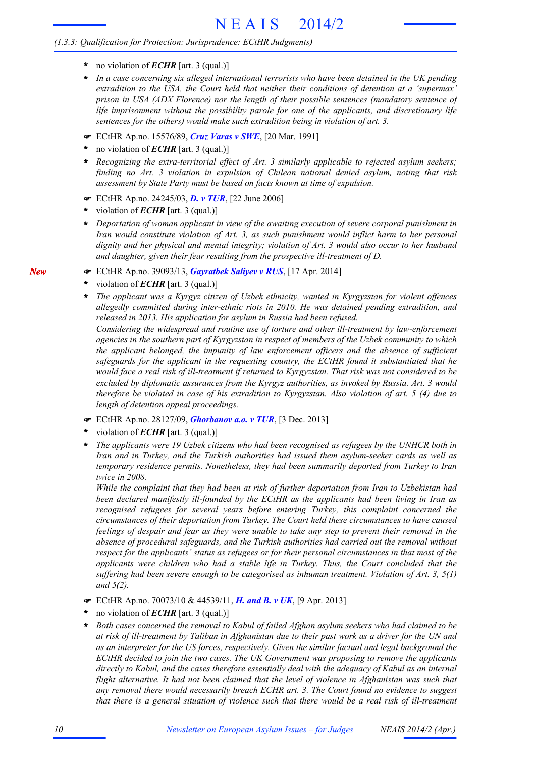- **\*** no violation of *ECHR* [art. 3 (qual.)]
- *In a case concerning six alleged international terrorists who have been detained in the UK pending extradition to the USA, the Court held that neither their conditions of detention at a 'supermax' prison in USA (ADX Florence) nor the length of their possible sentences (mandatory sentence of life imprisonment without the possibility parole for one of the applicants, and discretionary life sentences for the others) would make such extradition being in violation of art. 3.* **\***
- F ECtHR Ap.no. 15576/89, *Cruz Varas v SWE*, [20 Mar. 1991]
- no violation of *ECHR* [art. 3 (qual.)] **\***
- *Recognizing the extra-territorial effect of Art. 3 similarly applicable to rejected asylum seekers; finding no Art. 3 violation in expulsion of Chilean national denied asylum, noting that risk assessment by State Party must be based on facts known at time of expulsion.* **\***
- F ECtHR Ap.no. 24245/03, *D. v TUR*, [22 June 2006]
- violation of *ECHR* [art. 3 (qual.)] **\***
- *Deportation of woman applicant in view of the awaiting execution of severe corporal punishment in Iran would constitute violation of Art. 3, as such punishment would inflict harm to her personal dignity and her physical and mental integrity; violation of Art. 3 would also occur to her husband and daughter, given their fear resulting from the prospective ill-treatment of D.* **\***
- F ECtHR Ap.no. 39093/13, *Gayratbek Saliyev v RUS*, [17 Apr. 2014]
- violation of *ECHR* [art. 3 (qual.)] **\***
- *The applicant was a Kyrgyz citizen of Uzbek ethnicity, wanted in Kyrgyzstan for violent offences allegedly committed during inter-ethnic riots in 2010. He was detained pending extradition, and released in 2013. His application for asylum in Russia had been refused.* **\***

*Considering the widespread and routine use of torture and other ill-treatment by law-enforcement agencies in the southern part of Kyrgyzstan in respect of members of the Uzbek community to which the applicant belonged, the impunity of law enforcement officers and the absence of sufficient safeguards for the applicant in the requesting country, the ECtHR found it substantiated that he* would face a real risk of ill-treatment if returned to Kyrgyzstan. That risk was not considered to be *excluded by diplomatic assurances from the Kyrgyz authorities, as invoked by Russia. Art. 3 would* therefore be violated in case of his extradition to Kyrgyzstan. Also violation of art. 5 (4) due to *length of detention appeal proceedings.*

- F ECtHR Ap.no. 28127/09, *Ghorbanov a.o. v TUR*, [3 Dec. 2013]
- violation of *ECHR* [art. 3 (qual.)] **\***
- *The applicants were 19 Uzbek citizens who had been recognised as refugees by the UNHCR both in Iran and in Turkey, and the Turkish authorities had issued them asylum-seeker cards as well as temporary residence permits. Nonetheless, they had been summarily deported from Turkey to Iran twice in 2008.* **\***

*While the complaint that they had been at risk of further deportation from Iran to Uzbekistan had been declared manifestly ill-founded by the ECtHR as the applicants had been living in Iran as recognised refugees for several years before entering Turkey, this complaint concerned the circumstances of their deportation from Turkey. The Court held these circumstances to have caused* feelings of despair and fear as they were unable to take any step to prevent their removal in the *absence of procedural safeguards, and the Turkish authorities had carried out the removal without respect for the applicants' status as refugees or for their personal circumstances in that most of the applicants were children who had a stable life in Turkey. Thus, the Court concluded that the suffering had been severe enough to be categorised as inhuman treatment. Violation of Art. 3, 5(1) and 5(2).*

- F ECtHR Ap.no. 70073/10 & 44539/11, *H. and B. v UK*, [9 Apr. 2013]
- no violation of *ECHR* [art. 3 (qual.)] **\***
- *Both cases concerned the removal to Kabul of failed Afghan asylum seekers who had claimed to be* at risk of ill-treatment by Taliban in Afghanistan due to their past work as a driver for the UN and *as an interpreter for the US forces, respectively. Given the similar factual and legal background the ECtHR decided to join the two cases. The UK Government was proposing to remove the applicants directly to Kabul, and the cases therefore essentially deal with the adequacy of Kabul as an internal flight alternative. It had not been claimed that the level of violence in Afghanistan was such that any removal there would necessarily breach ECHR art. 3. The Court found no evidence to suggest* that there is a general situation of violence such that there would be a real risk of ill-treatment **\***

*10 Newsletter on European Asylum Issues – for Judges NEAIS 2014/2 (Apr.)*

*New*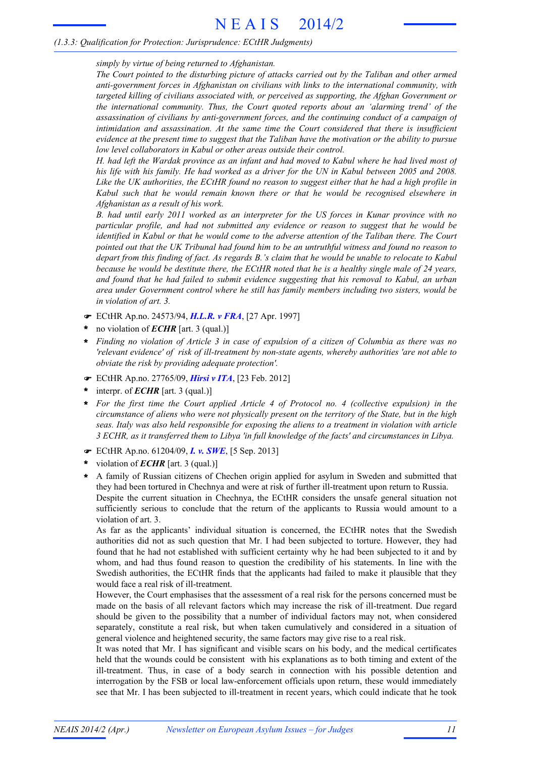*simply by virtue of being returned to Afghanistan.*

*The Court pointed to the disturbing picture of attacks carried out by the Taliban and other armed anti-government forces in Afghanistan on civilians with links to the international community, with targeted killing of civilians associated with, or perceived as supporting, the Afghan Government or the international community. Thus, the Court quoted reports about an 'alarming trend' of the assassination of civilians by anti-government forces, and the continuing conduct of a campaign of intimidation and assassination. At the same time the Court considered that there is insufficient* evidence at the present time to suggest that the Taliban have the motivation or the ability to pursue *low level collaborators in Kabul or other areas outside their control.*

H. had left the Wardak province as an infant and had moved to Kabul where he had lived most of his life with his family. He had worked as a driver for the UN in Kabul between 2005 and 2008. Like the UK authorities, the ECtHR found no reason to suggest either that he had a high profile in *Kabul such that he would remain known there or that he would be recognised elsewhere in Afghanistan as a result of his work.*

*B. had until early 2011 worked as an interpreter for the US forces in Kunar province with no particular profile, and had not submitted any evidence or reason to suggest that he would be identified in Kabul or that he would come to the adverse attention of the Taliban there. The Court* pointed out that the UK Tribunal had found him to be an untruthful witness and found no reason to depart from this finding of fact. As regards B.'s claim that he would be unable to relocate to Kabul because he would be destitute there, the ECtHR noted that he is a healthy single male of 24 years, *and found that he had failed to submit evidence suggesting that his removal to Kabul, an urban area under Government control where he still has family members including two sisters, would be in violation of art. 3.*

- F ECtHR Ap.no. 24573/94, *H.L.R. v FRA*, [27 Apr. 1997]
- no violation of *ECHR* [art. 3 (qual.)] **\***
- Finding no violation of Article 3 in case of expulsion of a citizen of Columbia as there was no *'relevant evidence' of risk of ill-treatment by non-state agents, whereby authorities 'are not able to obviate the risk by providing adequate protection'.* **\***
- F ECtHR Ap.no. 27765/09, *Hirsi v ITA*, [23 Feb. 2012]
- interpr. of *ECHR* [art. 3 (qual.)] **\***
- *For the first time the Court applied Article 4 of Protocol no. 4 (collective expulsion) in the* circumstance of aliens who were not physically present on the territory of the State, but in the high *seas. Italy was also held responsible for exposing the aliens to a treatment in violation with article 3 ECHR, as it transferred them to Libya 'in full knowledge of the facts' and circumstances in Libya.* **\***
- F ECtHR Ap.no. 61204/09, *I. v. SWE*, [5 Sep. 2013]
- violation of *ECHR* [art. 3 (qual.)] **\***
- A family of Russian citizens of Chechen origin applied for asylum in Sweden and submitted that they had been tortured in Chechnya and were at risk of further ill-treatment upon return to Russia. Despite the current situation in Chechnya, the ECtHR considers the unsafe general situation not sufficiently serious to conclude that the return of the applicants to Russia would amount to a violation of art. 3. **\***

As far as the applicants' individual situation is concerned, the ECtHR notes that the Swedish authorities did not as such question that Mr. I had been subjected to torture. However, they had found that he had not established with sufficient certainty why he had been subjected to it and by whom, and had thus found reason to question the credibility of his statements. In line with the Swedish authorities, the ECtHR finds that the applicants had failed to make it plausible that they would face a real risk of ill-treatment.

However, the Court emphasises that the assessment of a real risk for the persons concerned must be made on the basis of all relevant factors which may increase the risk of ill-treatment. Due regard should be given to the possibility that a number of individual factors may not, when considered separately, constitute a real risk, but when taken cumulatively and considered in a situation of general violence and heightened security, the same factors may give rise to a real risk.

It was noted that Mr. I has significant and visible scars on his body, and the medical certificates held that the wounds could be consistent with his explanations as to both timing and extent of the ill-treatment. Thus, in case of a body search in connection with his possible detention and interrogation by the FSB or local law-enforcement officials upon return, these would immediately see that Mr. I has been subjected to ill-treatment in recent years, which could indicate that he took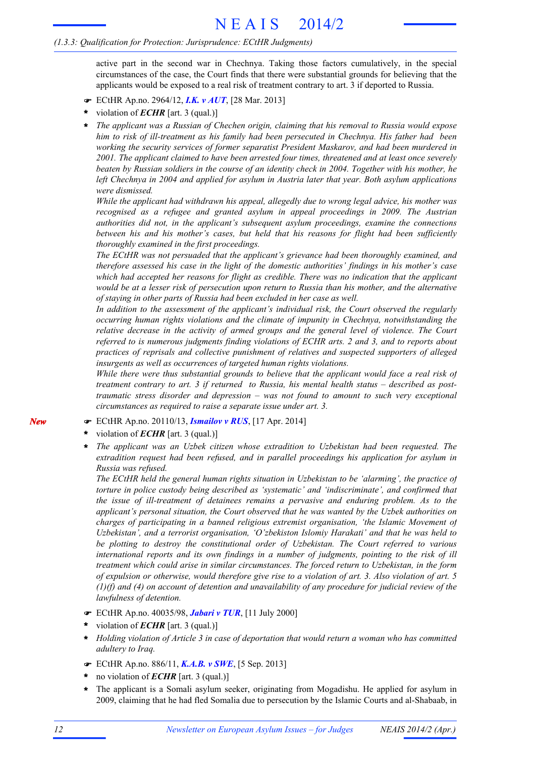active part in the second war in Chechnya. Taking those factors cumulatively, in the special circumstances of the case, the Court finds that there were substantial grounds for believing that the applicants would be exposed to a real risk of treatment contrary to art. 3 if deported to Russia.

- F ECtHR Ap.no. 2964/12, *I.K. v AUT*, [28 Mar. 2013]
- violation of *ECHR* [art. 3 (qual.)] **\***
- *The applicant was a Russian of Chechen origin, claiming that his removal to Russia would expose him to risk of ill-treatment as his family had been persecuted in Chechnya. His father had been working the security services of former separatist President Maskarov, and had been murdered in 2001. The applicant claimed to have been arrested four times, threatened and at least once severely* beaten by Russian soldiers in the course of an identity check in 2004. Together with his mother, he *left Chechnya in 2004 and applied for asylum in Austria later that year. Both asylum applications were dismissed.* **\***

*While the applicant had withdrawn his appeal, allegedly due to wrong legal advice, his mother was recognised as a refugee and granted asylum in appeal proceedings in 2009. The Austrian authorities did not, in the applicant's subsequent asylum proceedings, examine the connections between his and his mother's cases, but held that his reasons for flight had been sufficiently thoroughly examined in the first proceedings.*

*The ECtHR was not persuaded that the applicant's grievance had been thoroughly examined, and therefore assessed his case in the light of the domestic authorities' findings in his mother's case which had accepted her reasons for flight as credible. There was no indication that the applicant* would be at a lesser risk of persecution upon return to Russia than his mother, and the alternative *of staying in other parts of Russia had been excluded in her case as well.*

*In addition to the assessment of the applicant's individual risk, the Court observed the regularly occurring human rights violations and the climate of impunity in Chechnya, notwithstanding the relative decrease in the activity of armed groups and the general level of violence. The Court referred to is numerous judgments finding violations of ECHR arts. 2 and 3, and to reports about practices of reprisals and collective punishment of relatives and suspected supporters of alleged insurgents as well as occurrences of targeted human rights violations.*

*While there were thus substantial grounds to believe that the applicant would face a real risk of treatment contrary to art. 3 if returned to Russia, his mental health status – described as posttraumatic stress disorder and depression – was not found to amount to such very exceptional circumstances as required to raise a separate issue under art. 3.*

- F ECtHR Ap.no. 20110/13, *Ismailov v RUS*, [17 Apr. 2014]
- violation of *ECHR* [art. 3 (qual.)] **\***
- *The applicant was an Uzbek citizen whose extradition to Uzbekistan had been requested. The extradition request had been refused, and in parallel proceedings his application for asylum in Russia was refused.* **\***

*The ECtHR held the general human rights situation in Uzbekistan to be 'alarming', the practice of torture in police custody being described as 'systematic' and 'indiscriminate', and confirmed that the issue of ill-treatment of detainees remains a pervasive and enduring problem. As to the applicant's personal situation, the Court observed that he was wanted by the Uzbek authorities on charges of participating in a banned religious extremist organisation, 'the Islamic Movement of Uzbekistan', and a terrorist organisation, 'O'zbekiston Islomiy Harakati' and that he was held to be plotting to destroy the constitutional order of Uzbekistan. The Court referred to various international reports and its own findings in a number of judgments, pointing to the risk of ill treatment which could arise in similar circumstances. The forced return to Uzbekistan, in the form* of expulsion or otherwise, would therefore give rise to a violation of art. 3. Also violation of art. 5 *(1)(f) and (4) on account of detention and unavailability of any procedure for judicial review of the lawfulness of detention.*

- F ECtHR Ap.no. 40035/98, *Jabari v TUR*, [11 July 2000]
- violation of *ECHR* [art. 3 (qual.)] **\***
- *Holding violation of Article 3 in case of deportation that would return a woman who has committed adultery to Iraq.* **\***
- F ECtHR Ap.no. 886/11, *K.A.B. v SWE*, [5 Sep. 2013]
- no violation of *ECHR* [art. 3 (qual.)] **\***
- The applicant is a Somali asylum seeker, originating from Mogadishu. He applied for asylum in 2009, claiming that he had fled Somalia due to persecution by the Islamic Courts and al-Shabaab, in **\***

*New*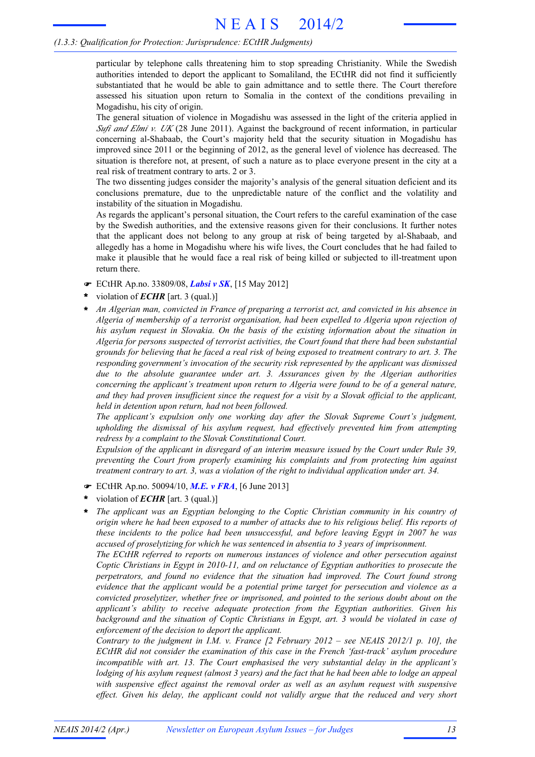particular by telephone calls threatening him to stop spreading Christianity. While the Swedish authorities intended to deport the applicant to Somaliland, the ECtHR did not find it sufficiently substantiated that he would be able to gain admittance and to settle there. The Court therefore assessed his situation upon return to Somalia in the context of the conditions prevailing in Mogadishu, his city of origin.

The general situation of violence in Mogadishu was assessed in the light of the criteria applied in *Sufi and Elmi v. UK* (28 June 2011). Against the background of recent information, in particular concerning al-Shabaab, the Court's majority held that the security situation in Mogadishu has improved since 2011 or the beginning of 2012, as the general level of violence has decreased. The situation is therefore not, at present, of such a nature as to place everyone present in the city at a real risk of treatment contrary to arts. 2 or 3.

The two dissenting judges consider the majority's analysis of the general situation deficient and its conclusions premature, due to the unpredictable nature of the conflict and the volatility and instability of the situation in Mogadishu.

As regards the applicant's personal situation, the Court refers to the careful examination of the case by the Swedish authorities, and the extensive reasons given for their conclusions. It further notes that the applicant does not belong to any group at risk of being targeted by al-Shabaab, and allegedly has a home in Mogadishu where his wife lives, the Court concludes that he had failed to make it plausible that he would face a real risk of being killed or subjected to ill-treatment upon return there.

- F ECtHR Ap.no. 33809/08, *Labsi v SK*, [15 May 2012]
- violation of *ECHR* [art. 3 (qual.)] **\***
- *An Algerian man, convicted in France of preparing a terrorist act, and convicted in his absence in Algeria of membership of a terrorist organisation, had been expelled to Algeria upon rejection of his asylum request in Slovakia. On the basis of the existing information about the situation in Algeria for persons suspected of terrorist activities, the Court found that there had been substantial* grounds for believing that he faced a real risk of being exposed to treatment contrary to art. 3. The *responding government's invocation of the security risk represented by the applicant was dismissed due to the absolute guarantee under art. 3. Assurances given by the Algerian authorities concerning the applicant's treatment upon return to Algeria were found to be of a general nature,* and they had proven insufficient since the request for a visit by a Slovak official to the applicant, *held in detention upon return, had not been followed.* **\***

*The applicant's expulsion only one working day after the Slovak Supreme Court's judgment, upholding the dismissal of his asylum request, had effectively prevented him from attempting redress by a complaint to the Slovak Constitutional Court.*

*Expulsion of the applicant in disregard of an interim measure issued by the Court under Rule 39, preventing the Court from properly examining his complaints and from protecting him against treatment contrary to art. 3, was a violation of the right to individual application under art. 34.*

- F ECtHR Ap.no. 50094/10, *M.E. v FRA*, [6 June 2013]
- violation of *ECHR* [art. 3 (qual.)] **\***
- *The applicant was an Egyptian belonging to the Coptic Christian community in his country of* origin where he had been exposed to a number of attacks due to his religious belief. His reports of *these incidents to the police had been unsuccessful, and before leaving Egypt in 2007 he was accused of proselytizing for which he was sentenced in absentia to 3 years of imprisonment.* **\***

*The ECtHR referred to reports on numerous instances of violence and other persecution against Coptic Christians in Egypt in 2010-11, and on reluctance of Egyptian authorities to prosecute the perpetrators, and found no evidence that the situation had improved. The Court found strong evidence that the applicant would be a potential prime target for persecution and violence as a convicted proselytizer, whether free or imprisoned, and pointed to the serious doubt about on the applicant's ability to receive adequate protection from the Egyptian authorities. Given his background and the situation of Coptic Christians in Egypt, art. 3 would be violated in case of enforcement of the decision to deport the applicant.*

*Contrary to the judgment in I.M. v. France [2 February 2012 – see NEAIS 2012/1 p. 10], the ECtHR did not consider the examination of this case in the French 'fast-track' asylum procedure incompatible with art. 13. The Court emphasised the very substantial delay in the applicant's* lodging of his asylum request (almost 3 years) and the fact that he had been able to lodge an appeal *with suspensive effect against the removal order as well as an asylum request with suspensive effect. Given his delay, the applicant could not validly argue that the reduced and very short*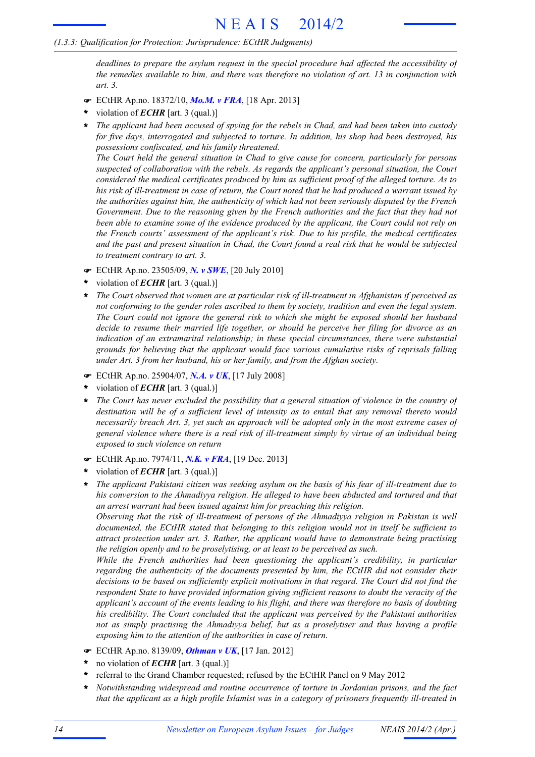*deadlines to prepare the asylum request in the special procedure had affected the accessibility of the remedies available to him, and there was therefore no violation of art. 13 in conjunction with art. 3.*

- F ECtHR Ap.no. 18372/10, *Mo.M. v FRA*, [18 Apr. 2013]
- violation of *ECHR* [art. 3 (qual.)] **\***
- *The applicant had been accused of spying for the rebels in Chad, and had been taken into custody for five days, interrogated and subjected to torture. In addition, his shop had been destroyed, his possessions confiscated, and his family threatened.* **\***

*The Court held the general situation in Chad to give cause for concern, particularly for persons suspected of collaboration with the rebels. As regards the applicant's personal situation, the Court considered the medical certificates produced by him as sufficient proof of the alleged torture. As to* his risk of ill-treatment in case of return, the Court noted that he had produced a warrant issued by *the authorities against him, the authenticity of which had not been seriously disputed by the French Government. Due to the reasoning given by the French authorities and the fact that they had not been able to examine some of the evidence produced by the applicant, the Court could not rely on the French courts' assessment of the applicant's risk. Due to his profile, the medical certificates* and the past and present situation in Chad, the Court found a real risk that he would be subjected *to treatment contrary to art. 3.*

- F ECtHR Ap.no. 23505/09, *N. v SWE*, [20 July 2010]
- violation of *ECHR* [art. 3 (qual.)] **\***
- *The Court observed that women are at particular risk of ill-treatment in Afghanistan if perceived as not conforming to the gender roles ascribed to them by society, tradition and even the legal system. The Court could not ignore the general risk to which she might be exposed should her husband decide to resume their married life together, or should he perceive her filing for divorce as an indication of an extramarital relationship; in these special circumstances, there were substantial grounds for believing that the applicant would face various cumulative risks of reprisals falling under Art. 3 from her husband, his or her family, and from the Afghan society.* **\***
- F ECtHR Ap.no. 25904/07, *N.A. v UK*, [17 July 2008]
- violation of *ECHR* [art. 3 (qual.)] **\***
- *The Court has never excluded the possibility that a general situation of violence in the country of destination will be of a sufficient level of intensity as to entail that any removal thereto would necessarily breach Art. 3, yet such an approach will be adopted only in the most extreme cases of general violence where there is a real risk of ill-treatment simply by virtue of an individual being exposed to such violence on return* **\***
- F ECtHR Ap.no. 7974/11, *N.K. v FRA*, [19 Dec. 2013]
- violation of *ECHR* [art. 3 (qual.)] **\***
- *The applicant Pakistani citizen was seeking asylum on the basis of his fear of ill-treatment due to his conversion to the Ahmadiyya religion. He alleged to have been abducted and tortured and that an arrest warrant had been issued against him for preaching this religion.* **\***

*Observing that the risk of ill-treatment of persons of the Ahmadiyya religion in Pakistan is well documented, the ECtHR stated that belonging to this religion would not in itself be sufficient to attract protection under art. 3. Rather, the applicant would have to demonstrate being practising the religion openly and to be proselytising, or at least to be perceived as such.*

*While the French authorities had been questioning the applicant's credibility, in particular regarding the authenticity of the documents presented by him, the ECtHR did not consider their decisions to be based on sufficiently explicit motivations in that regard. The Court did not find the respondent State to have provided information giving sufficient reasons to doubt the veracity of the applicant's account of the events leading to his flight, and there was therefore no basis of doubting his credibility. The Court concluded that the applicant was perceived by the Pakistani authorities not as simply practising the Ahmadiyya belief, but as a proselytiser and thus having a profile exposing him to the attention of the authorities in case of return.*

- F ECtHR Ap.no. 8139/09, *Othman v UK*, [17 Jan. 2012]
- no violation of *ECHR* [art. 3 (qual.)] **\***
- referral to the Grand Chamber requested; refused by the ECtHR Panel on 9 May 2012 **\***
- *Notwithstanding widespread and routine occurrence of torture in Jordanian prisons, and the fact that the applicant as a high profile Islamist was in a category of prisoners frequently ill-treated in* **\***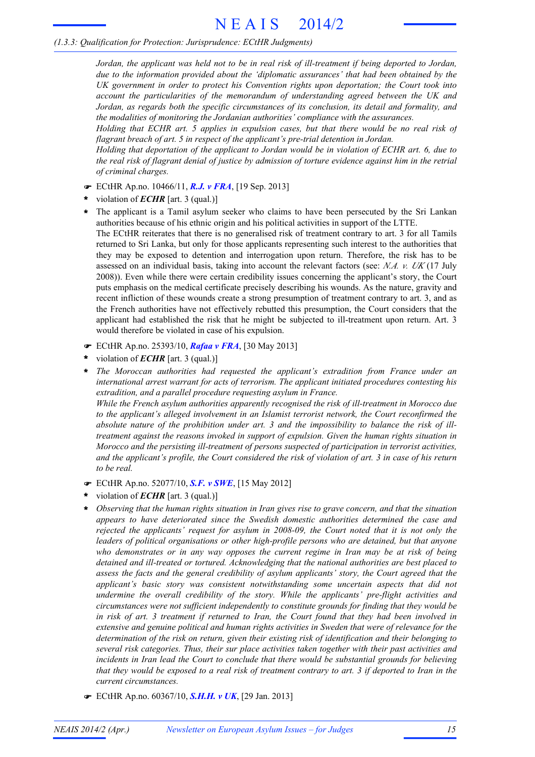Jordan, the applicant was held not to be in real risk of ill-treatment if being deported to Jordan, *due to the information provided about the 'diplomatic assurances' that had been obtained by the UK government in order to protect his Convention rights upon deportation; the Court took into account the particularities of the memorandum of understanding agreed between the UK and Jordan, as regards both the specific circumstances of its conclusion, its detail and formality, and the modalities of monitoring the Jordanian authorities' compliance with the assurances.*

*Holding that ECHR art. 5 applies in expulsion cases, but that there would be no real risk of flagrant breach of art. 5 in respect of the applicant's pre-trial detention in Jordan.*

*Holding that deportation of the applicant to Jordan would be in violation of ECHR art. 6, due to* the real risk of flagrant denial of justice by admission of torture evidence against him in the retrial *of criminal charges.*

- F ECtHR Ap.no. 10466/11, *R.J. v FRA*, [19 Sep. 2013]
- violation of *ECHR* [art. 3 (qual.)] **\***
- The applicant is a Tamil asylum seeker who claims to have been persecuted by the Sri Lankan **\*** authorities because of his ethnic origin and his political activities in support of the LTTE. The ECtHR reiterates that there is no generalised risk of treatment contrary to art. 3 for all Tamils returned to Sri Lanka, but only for those applicants representing such interest to the authorities that they may be exposed to detention and interrogation upon return. Therefore, the risk has to be assessed on an individual basis, taking into account the relevant factors (see: *N.A. v. UK* (17 July 2008)). Even while there were certain credibility issues concerning the applicant's story, the Court puts emphasis on the medical certificate precisely describing his wounds. As the nature, gravity and recent infliction of these wounds create a strong presumption of treatment contrary to art. 3, and as the French authorities have not effectively rebutted this presumption, the Court considers that the applicant had established the risk that he might be subjected to ill-treatment upon return. Art. 3 would therefore be violated in case of his expulsion.
- F ECtHR Ap.no. 25393/10, *Rafaa v FRA*, [30 May 2013]
- violation of *ECHR* [art. 3 (qual.)] **\***
- *The Moroccan authorities had requested the applicant's extradition from France under an international arrest warrant for acts of terrorism. The applicant initiated procedures contesting his extradition, and a parallel procedure requesting asylum in France. While the French asylum authorities apparently recognised the risk of ill-treatment in Morocco due* **\***

*to the applicant's alleged involvement in an Islamist terrorist network, the Court reconfirmed the absolute nature of the prohibition under art. 3 and the impossibility to balance the risk of illtreatment against the reasons invoked in support of expulsion. Given the human rights situation in Morocco and the persisting ill-treatment of persons suspected of participation in terrorist activities,* and the applicant's profile, the Court considered the risk of violation of art. 3 in case of his return *to be real.*

- F ECtHR Ap.no. 52077/10, *S.F. v SWE*, [15 May 2012]
- violation of *ECHR* [art. 3 (qual.)] **\***
- *Observing that the human rights situation in Iran gives rise to grave concern, and that the situation appears to have deteriorated since the Swedish domestic authorities determined the case and rejected the applicants' request for asylum in 2008-09, the Court noted that it is not only the leaders of political organisations or other high-profile persons who are detained, but that anyone who demonstrates or in any way opposes the current regime in Iran may be at risk of being detained and ill-treated or tortured. Acknowledging that the national authorities are best placed to assess the facts and the general credibility of asylum applicants' story, the Court agreed that the applicant's basic story was consistent notwithstanding some uncertain aspects that did not undermine the overall credibility of the story. While the applicants' pre-flight activities and circumstances were not sufficient independently to constitute grounds for finding that they would be* in risk of art. 3 treatment if returned to Iran, the Court found that they had been involved in *extensive and genuine political and human rights activities in Sweden that were of relevance for the determination of the risk on return, given their existing risk of identification and their belonging to several risk categories. Thus, their sur place activities taken together with their past activities and incidents in Iran lead the Court to conclude that there would be substantial grounds for believing* that they would be exposed to a real risk of treatment contrary to art. 3 if deported to Iran in the *current circumstances.* **\***
- F ECtHR Ap.no. 60367/10, *S.H.H. v UK*, [29 Jan. 2013]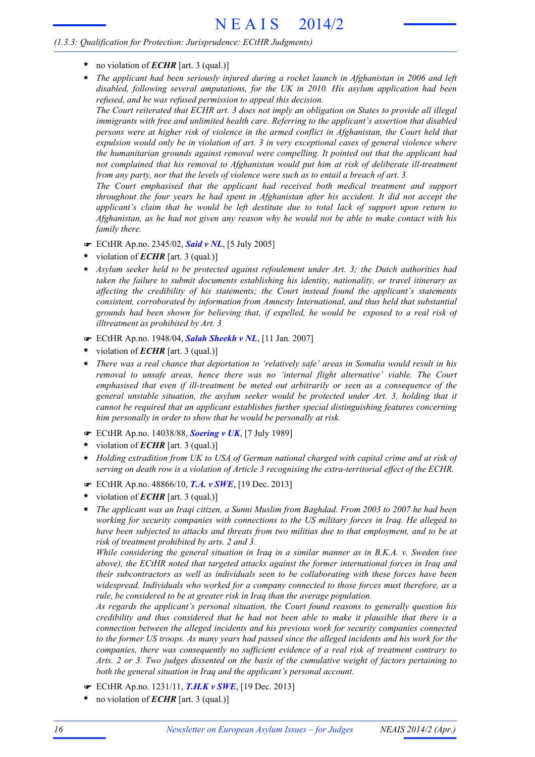- **\*** no violation of *ECHR* [art. 3 (qual.)]
- *The applicant had been seriously injured during a rocket launch in Afghanistan in 2006 and left disabled, following several amputations, for the UK in 2010. His asylum application had been refused, and he was refused permission to appeal this decision.* **\***

The Court reiterated that ECHR art. 3 does not imply an obligation on States to provide all illegal *immigrants with free and unlimited health care. Referring to the applicant's assertion that disabled persons were at higher risk of violence in the armed conflict in Afghanistan, the Court held that expulsion would only be in violation of art. 3 in very exceptional cases of general violence where the humanitarian grounds against removal were compelling. It pointed out that the applicant had not complained that his removal to Afghanistan would put him at risk of deliberate ill-treatment from any party, nor that the levels of violence were such as to entail a breach of art. 3.*

*The Court emphasised that the applicant had received both medical treatment and support throughout the four years he had spent in Afghanistan after his accident. It did not accept the applicant's claim that he would be left destitute due to total lack of support upon return to* Afghanistan, as he had not given any reason why he would not be able to make contact with his *family there.*

- F ECtHR Ap.no. 2345/02, *Said v NL*, [5 July 2005]
- violation of *ECHR* [art. 3 (qual.)] **\***
- *Asylum seeker held to be protected against refoulement under Art. 3; the Dutch authorities had* **\*** *taken the failure to submit documents establishing his identity, nationality, or travel itinerary as affecting the credibility of his statements; the Court instead found the applicant's statements consistent, corroborated by information from Amnesty International, and thus held that substantial grounds had been shown for believing that, if expelled, he would be exposed to a real risk of illtreatment as prohibited by Art. 3*
- F ECtHR Ap.no. 1948/04, *Salah Sheekh v NL*, [11 Jan. 2007]
- violation of *ECHR* [art. 3 (qual.)] **\***
- *There was a real chance that deportation to 'relatively safe' areas in Somalia would result in his removal to unsafe areas, hence there was no 'internal flight alternative' viable. The Court emphasised that even if ill-treatment be meted out arbitrarily or seen as a consequence of the general unstable situation, the asylum seeker would be protected under Art. 3, holding that it cannot be required that an applicant establishes further special distinguishing features concerning him personally in order to show that he would be personally at risk.* **\***
- F ECtHR Ap.no. 14038/88, *Soering v UK*, [7 July 1989]
- violation of *ECHR* [art. 3 (qual.)] **\***
- *Holding extradition from UK to USA of German national charged with capital crime and at risk of serving on death row is a violation of Article 3 recognising the extra-territorial effect of the ECHR.* **\***
- F ECtHR Ap.no. 48866/10, *T.A. v SWE*, [19 Dec. 2013]
- violation of *ECHR* [art. 3 (qual.)] **\***
- *The applicant was an Iraqi citizen, a Sunni Muslim from Baghdad. From 2003 to 2007 he had been working for security companies with connections to the US military forces in Iraq. He alleged to have been subjected to attacks and threats from two militias due to that employment, and to be at risk of treatment prohibited by arts. 2 and 3.* **\***

*While considering the general situation in Iraq in a similar manner as in B.K.A. v. Sweden (see above), the ECtHR noted that targeted attacks against the former international forces in Iraq and their subcontractors as well as individuals seen to be collaborating with these forces have been widespread. Individuals who worked for a company connected to those forces must therefore, as a rule, be considered to be at greater risk in Iraq than the average population.*

*As regards the applicant's personal situation, the Court found reasons to generally question his credibility and thus considered that he had not been able to make it plausible that there is a connection between the alleged incidents and his previous work for security companies connected* to the former US troops. As many years had passed since the alleged incidents and his work for the *companies, there was consequently no sufficient evidence of a real risk of treatment contrary to Arts. 2 or 3. Two judges dissented on the basis of the cumulative weight of factors pertaining to both the general situation in Iraq and the applicant's personal account.*

- F ECtHR Ap.no. 1231/11, *T.H.K v SWE*, [19 Dec. 2013]
- no violation of *ECHR* [art. 3 (qual.)] **\***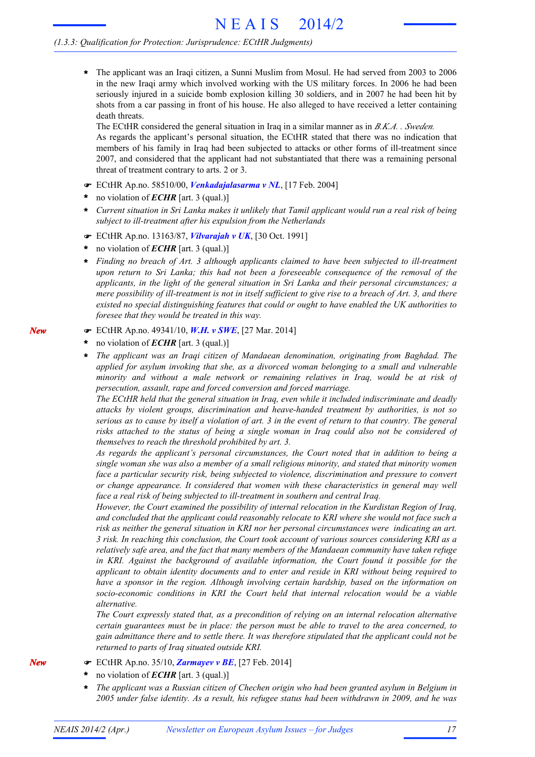The applicant was an Iraqi citizen, a Sunni Muslim from Mosul. He had served from 2003 to 2006 in the new Iraqi army which involved working with the US military forces. In 2006 he had been seriously injured in a suicide bomb explosion killing 30 soldiers, and in 2007 he had been hit by shots from a car passing in front of his house. He also alleged to have received a letter containing death threats. **\***

The ECtHR considered the general situation in Iraq in a similar manner as in *B.K.A. . Sweden.* As regards the applicant's personal situation, the ECtHR stated that there was no indication that members of his family in Iraq had been subjected to attacks or other forms of ill-treatment since 2007, and considered that the applicant had not substantiated that there was a remaining personal threat of treatment contrary to arts. 2 or 3.

- F ECtHR Ap.no. 58510/00, *Venkadajalasarma v NL*, [17 Feb. 2004]
- no violation of *ECHR* [art. 3 (qual.)] **\***
- Current situation in Sri Lanka makes it unlikely that Tamil applicant would run a real risk of being *subject to ill-treatment after his expulsion from the Netherlands*
- F ECtHR Ap.no. 13163/87, *Vilvarajah v UK*, [30 Oct. 1991]
- no violation of *ECHR* [art. 3 (qual.)] **\***
- *Finding no breach of Art. 3 although applicants claimed to have been subjected to ill-treatment upon return to Sri Lanka; this had not been a foreseeable consequence of the removal of the applicants, in the light of the general situation in Sri Lanka and their personal circumstances; a* mere possibility of ill-treatment is not in itself sufficient to give rise to a breach of Art. 3, and there *existed no special distinguishing features that could or ought to have enabled the UK authorities to foresee that they would be treated in this way.* **\***
- F ECtHR Ap.no. 49341/10, *W.H. v SWE*, [27 Mar. 2014]
- no violation of *ECHR* [art. 3 (qual.)] **\***
- *The applicant was an Iraqi citizen of Mandaean denomination, originating from Baghdad. The applied for asylum invoking that she, as a divorced woman belonging to a small and vulnerable minority and without a male network or remaining relatives in Iraq, would be at risk of persecution, assault, rape and forced conversion and forced marriage.* **\***

*The ECtHR held that the general situation in Iraq, even while it included indiscriminate and deadly attacks by violent groups, discrimination and heave-handed treatment by authorities, is not so* serious as to cause by itself a violation of art. 3 in the event of return to that country. The general *risks attached to the status of being a single woman in Iraq could also not be considered of themselves to reach the threshold prohibited by art. 3.*

*As regards the applicant's personal circumstances, the Court noted that in addition to being a single woman she was also a member of a small religious minority, and stated that minority women face a particular security risk, being subjected to violence, discrimination and pressure to convert or change appearance. It considered that women with these characteristics in general may well face a real risk of being subjected to ill-treatment in southern and central Iraq.*

*However, the Court examined the possibility of internal relocation in the Kurdistan Region of Iraq, and concluded that the applicant could reasonably relocate to KRI where she would not face such a risk as neither the general situation in KRI nor her personal circumstances were indicating an art. 3 risk. In reaching this conclusion, the Court took account of various sources considering KRI as a relatively safe area, and the fact that many members of the Mandaean community have taken refuge in KRI. Against the background of available information, the Court found it possible for the applicant to obtain identity documents and to enter and reside in KRI without being required to have a sponsor in the region. Although involving certain hardship, based on the information on socio-economic conditions in KRI the Court held that internal relocation would be a viable alternative.*

*The Court expressly stated that, as a precondition of relying on an internal relocation alternative certain guarantees must be in place: the person must be able to travel to the area concerned, to gain admittance there and to settle there. It was therefore stipulated that the applicant could not be returned to parts of Iraq situated outside KRI.*

- F ECtHR Ap.no. 35/10, *Zarmayev v BE*, [27 Feb. 2014]
- no violation of *ECHR* [art. 3 (qual.)] **\***
- *The applicant was a Russian citizen of Chechen origin who had been granted asylum in Belgium in 2005 under false identity. As a result, his refugee status had been withdrawn in 2009, and he was* **\***

*New*

*New*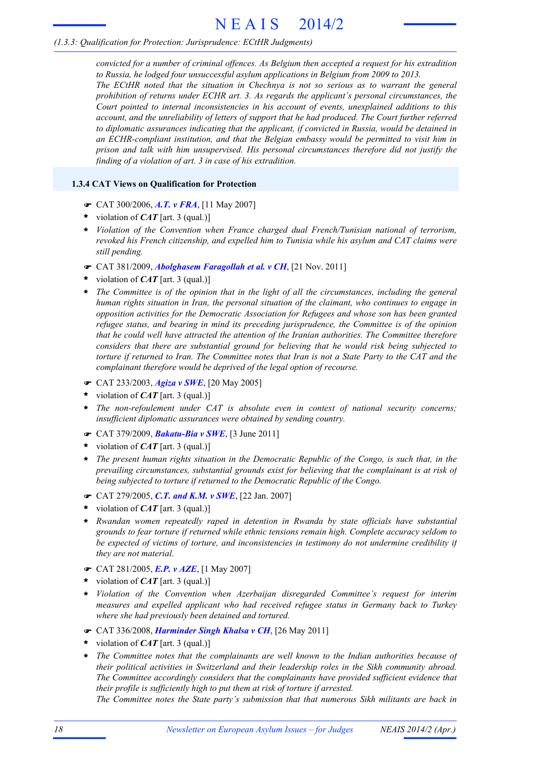# N E A I S 2014/2

# *(1.3.3: Qualification for Protection: Jurisprudence: ECtHR Judgments)*

*convicted for a number of criminal offences. As Belgium then accepted a request for his extradition to Russia, he lodged four unsuccessful asylum applications in Belgium from 2009 to 2013. The ECtHR noted that the situation in Chechnya is not so serious as to warrant the general prohibition of returns under ECHR art. 3. As regards the applicant's personal circumstances, the Court pointed to internal inconsistencies in his account of events, unexplained additions to this account, and the unreliability of letters of support that he had produced. The Court further referred to diplomatic assurances indicating that the applicant, if convicted in Russia, would be detained in an ECHR-compliant institution, and that the Belgian embassy would be permitted to visit him in prison and talk with him unsupervised. His personal circumstances therefore did not justify the finding of a violation of art. 3 in case of his extradition.*

# **1.3.4 CAT Views on Qualification for Protection**

- F CAT 300/2006, *A.T. v FRA*, [11 May 2007]
- violation of *CAT* [art. 3 (qual.)] **\***
- *Violation of the Convention when France charged dual French/Tunisian national of terrorism,* **\*** *revoked his French citizenship, and expelled him to Tunisia while his asylum and CAT claims were still pending.*
- F CAT 381/2009, *Abolghasem Faragollah et al. v CH*, [21 Nov. 2011]
- violation of *CAT* [art. 3 (qual.)] **\***
- \* The Committee is of the opinion that in the light of all the circumstances, including the general *human rights situation in Iran, the personal situation of the claimant, who continues to engage in opposition activities for the Democratic Association for Refugees and whose son has been granted refugee status, and bearing in mind its preceding jurisprudence, the Committee is of the opinion that he could well have attracted the attention of the Iranian authorities. The Committee therefore considers that there are substantial ground for believing that he would risk being subjected to* torture if returned to Iran. The Committee notes that Iran is not a State Party to the CAT and the *complainant therefore would be deprived of the legal option of recourse.*
- F CAT 233/2003, *Agiza v SWE*, [20 May 2005]
- violation of *CAT* [art. 3 (qual.)] **\***
- *The non-refoulement under CAT is absolute even in context of national security concerns; insufficient diplomatic assurances were obtained by sending country.* **\***
- F CAT 379/2009, *Bakatu-Bia v SWE*, [3 June 2011]
- violation of *CAT* [art. 3 (qual.)] **\***
- *The present human rights situation in the Democratic Republic of the Congo, is such that, in the prevailing circumstances, substantial grounds exist for believing that the complainant is at risk of being subjected to torture if returned to the Democratic Republic of the Congo.* **\***
- F CAT 279/2005, *C.T. and K.M. v SWE*, [22 Jan. 2007]
- violation of *CAT* [art. 3 (qual.)] **\***
- *Rwandan women repeatedly raped in detention in Rwanda by state officials have substantial grounds to fear torture if returned while ethnic tensions remain high. Complete accuracy seldom to be expected of victims of torture, and inconsistencies in testimony do not undermine credibility if they are not material.* **\***
- F CAT 281/2005, *E.P. v AZE*, [1 May 2007]
- violation of *CAT* [art. 3 (qual.)] **\***
- *Violation of the Convention when Azerbaijan disregarded Committee's request for interim* **\*** *measures and expelled applicant who had received refugee status in Germany back to Turkey where she had previously been detained and tortured.*
- F CAT 336/2008, *Harminder Singh Khalsa v CH*, [26 May 2011]
- violation of *CAT* [art. 3 (qual.)] **\***
- *The Committee notes that the complainants are well known to the Indian authorities because of their political activities in Switzerland and their leadership roles in the Sikh community abroad. The Committee accordingly considers that the complainants have provided sufficient evidence that their profile is sufficiently high to put them at risk of torture if arrested.* **\***

*The Committee notes the State party's submission that that numerous Sikh militants are back in*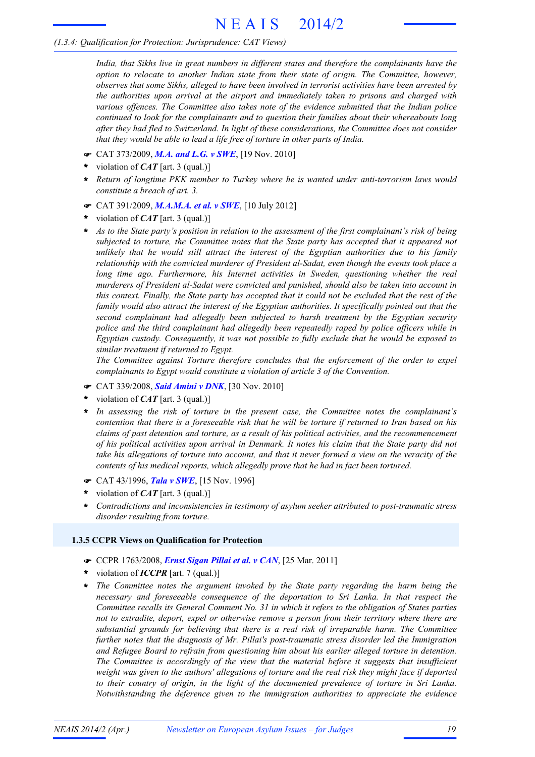# N E A I S 2014/2

# *(1.3.4: Qualification for Protection: Jurisprudence: CAT Views)*

*India, that Sikhs live in great numbers in different states and therefore the complainants have the option to relocate to another Indian state from their state of origin. The Committee, however, observes that some Sikhs, alleged to have been involved in terrorist activities have been arrested by the authorities upon arrival at the airport and immediately taken to prisons and charged with various offences. The Committee also takes note of the evidence submitted that the Indian police continued to look for the complainants and to question their families about their whereabouts long after they had fled to Switzerland. In light of these considerations, the Committee does not consider that they would be able to lead a life free of torture in other parts of India.*

- F CAT 373/2009, *M.A. and L.G. v SWE*, [19 Nov. 2010]
- violation of *CAT* [art. 3 (qual.)] **\***
- *Return of longtime PKK member to Turkey where he is wanted under anti-terrorism laws would constitute a breach of art. 3.* **\***
- F CAT 391/2009, *M.A.M.A. et al. v SWE*, [10 July 2012]
- violation of *CAT* [art. 3 (qual.)] **\***
- As to the State party's position in relation to the assessment of the first complainant's risk of being *subjected to torture, the Committee notes that the State party has accepted that it appeared not unlikely that he would still attract the interest of the Egyptian authorities due to his family relationship with the convicted murderer of President al-Sadat, even though the events took place a long time ago. Furthermore, his Internet activities in Sweden, questioning whether the real murderers of President al-Sadat were convicted and punished, should also be taken into account in* this context. Finally, the State party has accepted that it could not be excluded that the rest of the *family would also attract the interest of the Egyptian authorities. It specifically pointed out that the second complainant had allegedly been subjected to harsh treatment by the Egyptian security police and the third complainant had allegedly been repeatedly raped by police officers while in Egyptian custody. Consequently, it was not possible to fully exclude that he would be exposed to similar treatment if returned to Egypt.* **\***

*The Committee against Torture therefore concludes that the enforcement of the order to expel complainants to Egypt would constitute a violation of article 3 of the Convention.*

- F CAT 339/2008, *Said Amini v DNK*, [30 Nov. 2010]
- violation of *CAT* [art. 3 (qual.)] **\***
- *In assessing the risk of torture in the present case, the Committee notes the complainant's* contention that there is a foreseeable risk that he will be torture if returned to Iran based on his *claims of past detention and torture, as a result of his political activities, and the recommencement* of his political activities upon arrival in Denmark. It notes his claim that the State party did not take his allegations of torture into account, and that it never formed a view on the veracity of the *contents of his medical reports, which allegedly prove that he had in fact been tortured.* **\***
- F CAT 43/1996, *Tala v SWE*, [15 Nov. 1996]
- violation of *CAT* [art. 3 (qual.)] **\***
- *Contradictions and inconsistencies in testimony of asylum seeker attributed to post-traumatic stress disorder resulting from torture.* **\***

#### **1.3.5 CCPR Views on Qualification for Protection**

- F CCPR 1763/2008, *Ernst Sigan Pillai et al. v CAN*, [25 Mar. 2011]
- violation of *ICCPR* [art. 7 (qual.)] **\***
- *The Committee notes the argument invoked by the State party regarding the harm being the necessary and foreseeable consequence of the deportation to Sri Lanka. In that respect the Committee recalls its General Comment No. 31 in which it refers to the obligation of States parties not to extradite, deport, expel or otherwise remove a person from their territory where there are substantial grounds for believing that there is a real risk of irreparable harm. The Committee further notes that the diagnosis of Mr. Pillai's post-traumatic stress disorder led the Immigration and Refugee Board to refrain from questioning him about his earlier alleged torture in detention. The Committee is accordingly of the view that the material before it suggests that insufficient* weight was given to the authors' allegations of torture and the real risk they might face if deported *to their country of origin, in the light of the documented prevalence of torture in Sri Lanka. Notwithstanding the deference given to the immigration authorities to appreciate the evidence* **\***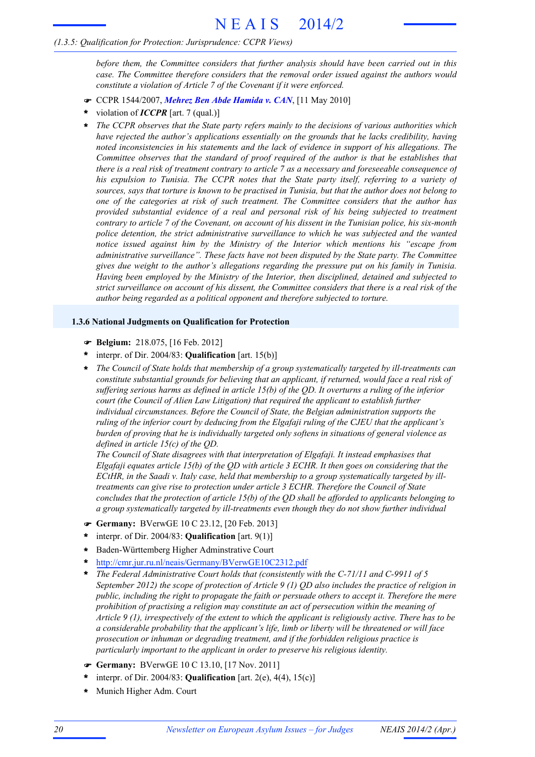# *(1.3.5: Qualification for Protection: Jurisprudence: CCPR Views)*

*before them, the Committee considers that further analysis should have been carried out in this case. The Committee therefore considers that the removal order issued against the authors would constitute a violation of Article 7 of the Covenant if it were enforced.*

- **CCPR 1544/2007, Mehrez Ben Abde Hamida v. CAN, [11 May 2010]**
- violation of *ICCPR* [art. 7 (qual.)] **\***
- *The CCPR observes that the State party refers mainly to the decisions of various authorities which have rejected the author's applications essentially on the grounds that he lacks credibility, having noted inconsistencies in his statements and the lack of evidence in support of his allegations. The Committee observes that the standard of proof required of the author is that he establishes that* there is a real risk of treatment contrary to article 7 as a necessary and foreseeable consequence of *his expulsion to Tunisia. The CCPR notes that the State party itself, referring to a variety of* sources, says that torture is known to be practised in Tunisia, but that the author does not belong to *one of the categories at risk of such treatment. The Committee considers that the author has provided substantial evidence of a real and personal risk of his being subjected to treatment* contrary to article 7 of the Covenant, on account of his dissent in the Tunisian police, his six-month *police detention, the strict administrative surveillance to which he was subjected and the wanted notice issued against him by the Ministry of the Interior which mentions his "escape from administrative surveillance". These facts have not been disputed by the State party. The Committee gives due weight to the author's allegations regarding the pressure put on his family in Tunisia. Having been employed by the Ministry of the Interior, then disciplined, detained and subjected to* strict surveillance on account of his dissent, the Committee considers that there is a real risk of the *author being regarded as a political opponent and therefore subjected to torture.* **\***

# **1.3.6 National Judgments on Qualification for Protection**

- F **Belgium:** 218.075, [16 Feb. 2012]
- interpr. of Dir. 2004/83: **Qualification** [art. 15(b)] **\***
- *The Council of State holds that membership of a group systematically targeted by ill-treatments can* **\*** *constitute substantial grounds for believing that an applicant, if returned, would face a real risk of suffering serious harms as defined in article 15(b) of the QD. It overturns a ruling of the inferior court (the Council of Alien Law Litigation) that required the applicant to establish further individual circumstances. Before the Council of State, the Belgian administration supports the ruling of the inferior court by deducing from the Elgafaji ruling of the CJEU that the applicant's burden of proving that he is individually targeted only softens in situations of general violence as defined in article 15(c) of the QD.*

*The Council of State disagrees with that interpretation of Elgafaji. It instead emphasises that Elgafaji equates article 15(b) of the QD with article 3 ECHR. It then goes on considering that the ECtHR, in the Saadi v. Italy case, held that membership to a group systematically targeted by illtreatments can give rise to protection under article 3 ECHR. Therefore the Council of State concludes that the protection of article 15(b) of the QD shall be afforded to applicants belonging to a group systematically targeted by ill-treatments even though they do not show further individual*

- F **Germany:** BVerwGE 10 C 23.12, [20 Feb. 2013]
- interpr. of Dir. 2004/83: **Qualification** [art. 9(1)] **\***
- Baden-Württemberg Higher Adminstrative Court **\***
- http://cmr.jur.ru.nl/neais/Germany/BVerwGE10C2312.pdf **\***
- *The Federal Administrative Court holds that (consistently with the C-71/11 and C-9911 of 5 September 2012) the scope of protection of Article 9 (1) QD also includes the practice of religion in public, including the right to propagate the faith or persuade others to accept it. Therefore the mere prohibition of practising a religion may constitute an act of persecution within the meaning of Article 9 (1), irrespectively of the extent to which the applicant is religiously active. There has to be a considerable probability that the applicant's life, limb or liberty will be threatened or will face prosecution or inhuman or degrading treatment, and if the forbidden religious practice is particularly important to the applicant in order to preserve his religious identity.* **\***
- F **Germany:** BVerwGE 10 C 13.10, [17 Nov. 2011]
- interpr. of Dir. 2004/83: **Qualification** [art. 2(e), 4(4), 15(c)] **\***
- **\*** Munich Higher Adm. Court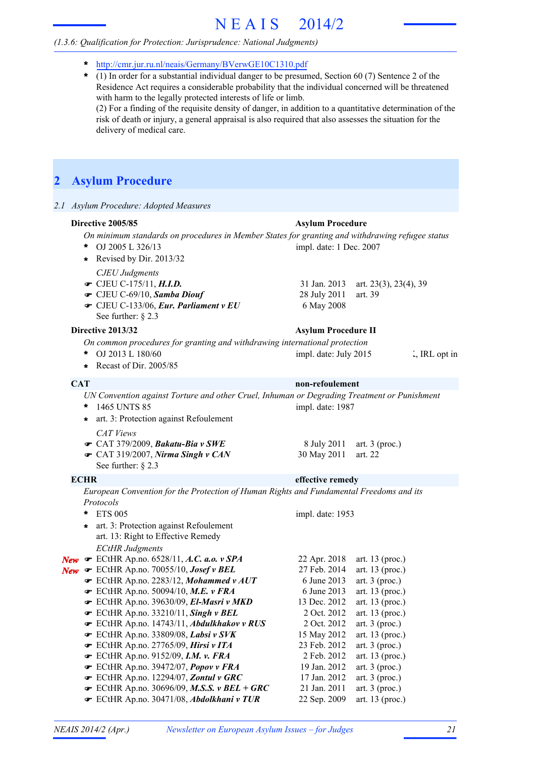# N E A I S 2014/2

# *(1.3.6: Qualification for Protection: Jurisprudence: National Judgments)*

- **\*** http://cmr.jur.ru.nl/neais/Germany/BVerwGE10C1310.pdf
- (1) In order for a substantial individual danger to be presumed, Section 60 (7) Sentence 2 of the Residence Act requires a considerable probability that the individual concerned will be threatened with harm to the legally protected interests of life or limb. (2) For a finding of the requisite density of danger, in addition to a quantitative determination of the risk of death or injury, a general appraisal is also required that also assesses the situation for the delivery of medical care. **\***

# **2 Asylum Procedure**

*2.1 Asylum Procedure: Adopted Measures*

#### **Directive 2005/85 Asylum Procedure**

- *On minimum standards on procedures in Member States for granting and withdrawing refugee status*
- OJ 2005 L 326/13 **\*** impl. date: 1 Dec. 2007
- *CJEU Judgments* **\*** Revised by Dir. 2013/32
- **■** CJEU C-175/11, *H.I.D.* 31 Jan. 2013 art. 23(3), 23(4), 39
- $\bullet$  CJEU C-69/10, *Samba Diouf* 28 July 2011 art. 39
- $\bullet$  CJEU C-133/06, *Eur. Parliament v EU* 6 May 2008 See further: § 2.3

#### **Directive 2013/32 Asylum Procedure II**

- *On common procedures for granting and withdrawing international protection*
- \* OJ 2013 L 180/60 impl. date: July 2015 . IRL opt in
- **\*** Recast of Dir. 2005/85

# **CAT non-refoulement**

*UN Convention against Torture and other Cruel, Inhuman or Degrading Treatment or Punishment* 1465 UNTS 85 **\*** impl. date: 1987

- *CAT Views* **\*** art. 3: Protection against Refoulement
	-
- CAT 379/2009, *Bakatu-Bia v SWE* 8 July 2011 art. 3 (proc.) • CAT 319/2007, *Nirma Singh v CAN* 30 May 2011 art. 22
- See further: § 2.3

#### **ECHR effective remedy**

*European Convention for the Protection of Human Rights and Fundamental Freedoms and its Protocols*

|     | $\star$ | <b>ETS 005</b>                                      | impl. date: 1953 |                   |
|-----|---------|-----------------------------------------------------|------------------|-------------------|
|     |         | * art. 3: Protection against Refoulement            |                  |                   |
|     |         | art. 13: Right to Effective Remedy                  |                  |                   |
|     |         | <b>ECtHR</b> Judgments                              |                  |                   |
| New |         | $\bullet$ ECtHR Ap.no. 6528/11, A.C. a.o. v SPA     | 22 Apr. 2018     | art. 13 (proc.)   |
| New |         | $\bullet$ ECtHR Ap.no. 70055/10, Josef v BEL        | 27 Feb. 2014     | art. 13 (proc.)   |
|     |         | F ECtHR Ap.no. 2283/12, Mohammed v AUT              | 6 June 2013      | art. $3$ (proc.)  |
|     |         | $\bullet$ ECtHR Ap.no. 50094/10, M.E. v FRA         | 6 June 2013      | art. 13 (proc.)   |
|     |         | F ECtHR Ap.no. 39630/09, El-Masri v MKD             | 13 Dec. 2012     | art. $13$ (proc.) |
|     |         | $\bullet$ ECtHR Ap.no. 33210/11, Singh v BEL        | 2 Oct. 2012      | art. 13 (proc.)   |
|     |         | ECtHR Ap.no. 14743/11, Abdulkhakov v RUS            | 2 Oct. 2012      | art. $3$ (proc.)  |
|     |         | $\bullet$ ECtHR Ap.no. 33809/08, Labsi v SVK        | 15 May 2012      | art. 13 (proc.)   |
|     |         | ECtHR Ap.no. 27765/09, Hirsi v ITA                  | 23 Feb. 2012     | art. $3$ (proc.)  |
|     |         | $\bullet$ ECtHR Ap.no. 9152/09, I.M. v. FRA         | 2 Feb. 2012      | art. $13$ (proc.) |
|     |         | ECtHR Ap.no. 39472/07, Popov v FRA                  | 19 Jan. 2012     | art. $3$ (proc.)  |
|     |         | FCtHR Ap.no. 12294/07, Zontul v GRC                 | 17 Jan. 2012     | art. $3$ (proc.)  |
|     |         | $\bullet$ ECtHR Ap.no. 30696/09, M.S.S. v BEL + GRC | 21 Jan. 2011     | art. $3$ (proc.)  |
|     |         | FCtHR Ap.no. 30471/08, Abdolkhani v TUR             | 22 Sep. 2009     | art. 13 (proc.)   |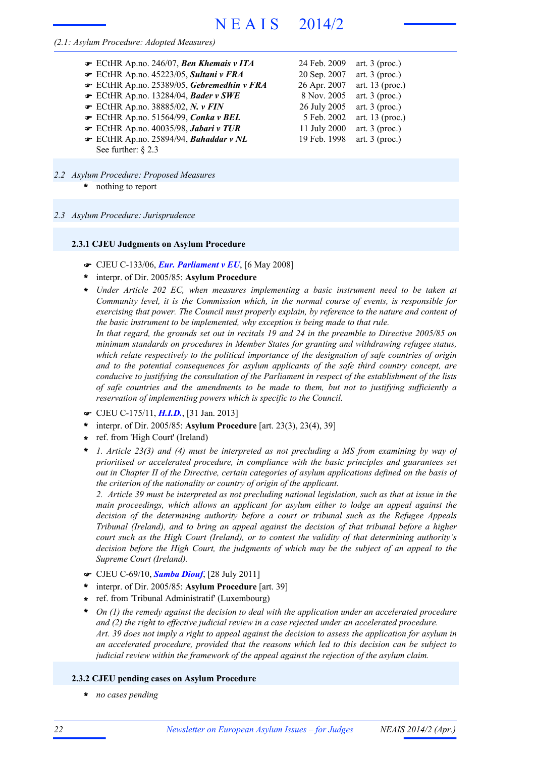### *(2.1: Asylum Procedure: Adopted Measures)*

| $\bullet$ ECtHR Ap.no. 246/07, Ben Khemais v ITA | 24 Feb. 2009 | art. $3$ (proc.)  |
|--------------------------------------------------|--------------|-------------------|
| ECtHR Ap.no. 45223/05, Sultani v FRA             | 20 Sep. 2007 | art. $3$ (proc.)  |
| ECtHR Ap.no. 25389/05, Gebremedhin v FRA         | 26 Apr. 2007 | art. $13$ (proc.) |
| ECtHR Ap.no. 13284/04, Bader v SWE               | 8 Nov. 2005  | art. $3$ (proc.)  |
| $\bullet$ ECtHR Ap.no. 38885/02, N. v FIN        | 26 July 2005 | art. $3$ (proc.)  |
| ECtHR Ap.no. 51564/99, Conka v BEL               | 5 Feb. 2002  | art. $13$ (proc.) |
| ECtHR Ap.no. 40035/98, Jabari v TUR              | 11 July 2000 | art. $3$ (proc.)  |
| ECtHR Ap.no. 25894/94, Bahaddar v NL             | 19 Feb. 1998 | art. $3$ (proc.)  |
| See further: $\S$ 2.3                            |              |                   |

- nothing to report **\*** *2.2 Asylum Procedure: Proposed Measures*
- *2.3 Asylum Procedure: Jurisprudence*

#### **2.3.1 CJEU Judgments on Asylum Procedure**

- F CJEU C-133/06, *Eur. Parliament v EU*, [6 May 2008]
- interpr. of Dir. 2005/85: **Asylum Procedure \***
- *Under Article 202 EC, when measures implementing a basic instrument need to be taken at* **\*** *Community level, it is the Commission which, in the normal course of events, is responsible for exercising that power. The Council must properly explain, by reference to the nature and content of the basic instrument to be implemented, why exception is being made to that rule.*

In that regard, the grounds set out in recitals 19 and 24 in the preamble to Directive 2005/85 on *minimum standards on procedures in Member States for granting and withdrawing refugee status, which relate respectively to the political importance of the designation of safe countries of origin and to the potential consequences for asylum applicants of the safe third country concept, are conducive to justifying the consultation of the Parliament in respect of the establishment of the lists of safe countries and the amendments to be made to them, but not to justifying sufficiently a reservation of implementing powers which is specific to the Council.*

- F CJEU C-175/11, *H.I.D.*, [31 Jan. 2013]
- interpr. of Dir. 2005/85: **Asylum Procedure** [art. 23(3), 23(4), 39] **\***
- ref. from 'High Court' (Ireland) **\***
- *1. Article 23(3) and (4) must be interpreted as not precluding a MS from examining by way of prioritised or accelerated procedure, in compliance with the basic principles and guarantees set out in Chapter II of the Directive, certain categories of asylum applications defined on the basis of the criterion of the nationality or country of origin of the applicant.* **\***

2. Article 39 must be interpreted as not precluding national legislation, such as that at issue in the *main proceedings, which allows an applicant for asylum either to lodge an appeal against the decision of the determining authority before a court or tribunal such as the Refugee Appeals Tribunal (Ireland), and to bring an appeal against the decision of that tribunal before a higher court such as the High Court (Ireland), or to contest the validity of that determining authority's decision before the High Court, the judgments of which may be the subject of an appeal to the Supreme Court (Ireland).*

- F CJEU C-69/10, *Samba Diouf*, [28 July 2011]
- interpr. of Dir. 2005/85: **Asylum Procedure** [art. 39] **\***
- ref. from 'Tribunal Administratif' (Luxembourg) **\***
- *On (1) the remedy against the decision to deal with the application under an accelerated procedure and (2) the right to effective judicial review in a case rejected under an accelerated procedure.* Art. 39 does not imply a right to appeal against the decision to assess the application for asylum in *an accelerated procedure, provided that the reasons which led to this decision can be subject to judicial review within the framework of the appeal against the rejection of the asylum claim.* **\***

#### **2.3.2 CJEU pending cases on Asylum Procedure**

**\*** *no cases pending*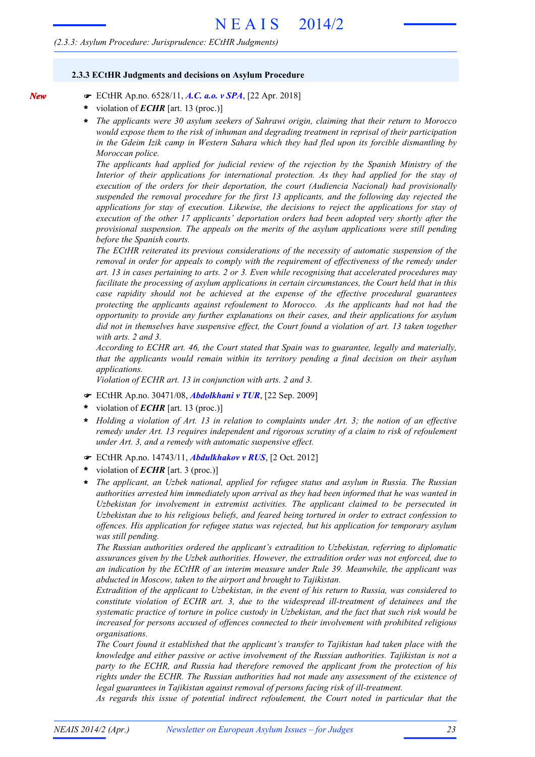#### **2.3.3 ECtHR Judgments and decisions on Asylum Procedure**

- F ECtHR Ap.no. 6528/11, *A.C. a.o. v SPA*, [22 Apr. 2018]
- violation of *ECHR* [art. 13 (proc.)] **\***

*New*

*The applicants were 30 asylum seekers of Sahrawi origin, claiming that their return to Morocco would expose them to the risk of inhuman and degrading treatment in reprisal of their participation in the Gdeim Izik camp in Western Sahara which they had fled upon its forcible dismantling by Moroccan police.* **\***

*The applicants had applied for judicial review of the rejection by the Spanish Ministry of the Interior of their applications for international protection. As they had applied for the stay of execution of the orders for their deportation, the court (Audiencia Nacional) had provisionally suspended the removal procedure for the first 13 applicants, and the following day rejected the applications for stay of execution. Likewise, the decisions to reject the applications for stay of execution of the other 17 applicants' deportation orders had been adopted very shortly after the provisional suspension. The appeals on the merits of the asylum applications were still pending before the Spanish courts.*

*The ECtHR reiterated its previous considerations of the necessity of automatic suspension of the removal in order for appeals to comply with the requirement of effectiveness of the remedy under art. 13 in cases pertaining to arts. 2 or 3. Even while recognising that accelerated procedures may facilitate the processing of asylum applications in certain circumstances, the Court held that in this case rapidity should not be achieved at the expense of the effective procedural guarantees protecting the applicants against refoulement to Morocco. As the applicants had not had the opportunity to provide any further explanations on their cases, and their applications for asylum did not in themselves have suspensive effect, the Court found a violation of art. 13 taken together with arts. 2 and 3.*

*According to ECHR art. 46, the Court stated that Spain was to guarantee, legally and materially, that the applicants would remain within its territory pending a final decision on their asylum applications.*

*Violation of ECHR art. 13 in conjunction with arts. 2 and 3.*

- F ECtHR Ap.no. 30471/08, *Abdolkhani v TUR*, [22 Sep. 2009]
- violation of *ECHR* [art. 13 (proc.)] **\***
- *Holding a violation of Art. 13 in relation to complaints under Art. 3; the notion of an effective remedy under Art. 13 requires independent and rigorous scrutiny of a claim to risk of refoulement under Art. 3, and a remedy with automatic suspensive effect.* **\***
- F ECtHR Ap.no. 14743/11, *Abdulkhakov v RUS*, [2 Oct. 2012]
- violation of *ECHR* [art. 3 (proc.)] **\***
- *The applicant, an Uzbek national, applied for refugee status and asylum in Russia. The Russian authorities arrested him immediately upon arrival as they had been informed that he was wanted in Uzbekistan for involvement in extremist activities. The applicant claimed to be persecuted in Uzbekistan due to his religious beliefs, and feared being tortured in order to extract confession to offences. His application for refugee status was rejected, but his application for temporary asylum was still pending.* **\***

*The Russian authorities ordered the applicant's extradition to Uzbekistan, referring to diplomatic assurances given by the Uzbek authorities. However, the extradition order was not enforced, due to an indication by the ECtHR of an interim measure under Rule 39. Meanwhile, the applicant was abducted in Moscow, taken to the airport and brought to Tajikistan.*

*Extradition of the applicant to Uzbekistan, in the event of his return to Russia, was considered to constitute violation of ECHR art. 3, due to the widespread ill-treatment of detainees and the systematic practice of torture in police custody in Uzbekistan, and the fact that such risk would be increased for persons accused of offences connected to their involvement with prohibited religious organisations.*

*The Court found it established that the applicant's transfer to Tajikistan had taken place with the knowledge and either passive or active involvement of the Russian authorities. Tajikistan is not a party to the ECHR, and Russia had therefore removed the applicant from the protection of his rights under the ECHR. The Russian authorities had not made any assessment of the existence of legal guarantees in Tajikistan against removal of persons facing risk of ill-treatment.*

*As regards this issue of potential indirect refoulement, the Court noted in particular that the*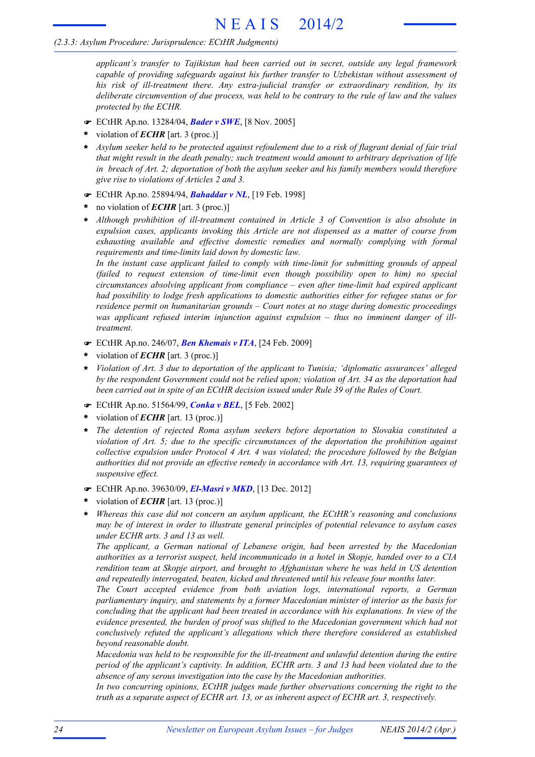*applicant's transfer to Tajikistan had been carried out in secret, outside any legal framework capable of providing safeguards against his further transfer to Uzbekistan without assessment of his risk of ill-treatment there. Any extra-judicial transfer or extraordinary rendition, by its deliberate circumvention of due process, was held to be contrary to the rule of law and the values protected by the ECHR.*

- F ECtHR Ap.no. 13284/04, *Bader v SWE*, [8 Nov. 2005]
- violation of *ECHR* [art. 3 (proc.)] **\***
- \* Asylum seeker held to be protected against refoulement due to a risk of flagrant denial of fair trial *that might result in the death penalty; such treatment would amount to arbitrary deprivation of life in breach of Art. 2; deportation of both the asylum seeker and his family members would therefore give rise to violations of Articles 2 and 3.*
- F ECtHR Ap.no. 25894/94, *Bahaddar v NL*, [19 Feb. 1998]
- no violation of *ECHR* [art. 3 (proc.)] **\***
- *Although prohibition of ill-treatment contained in Article 3 of Convention is also absolute in expulsion cases, applicants invoking this Article are not dispensed as a matter of course from exhausting available and effective domestic remedies and normally complying with formal requirements and time-limits laid down by domestic law.* **\***

*In the instant case applicant failed to comply with time-limit for submitting grounds of appeal (failed to request extension of time-limit even though possibility open to him) no special circumstances absolving applicant from compliance – even after time-limit had expired applicant had possibility to lodge fresh applications to domestic authorities either for refugee status or for residence permit on humanitarian grounds – Court notes at no stage during domestic proceedings was applicant refused interim injunction against expulsion – thus no imminent danger of illtreatment.*

- F ECtHR Ap.no. 246/07, *Ben Khemais v ITA*, [24 Feb. 2009]
- violation of *ECHR* [art. 3 (proc.)] **\***
- *Violation of Art. 3 due to deportation of the applicant to Tunisia; 'diplomatic assurances' alleged by the respondent Government could not be relied upon; violation of Art. 34 as the deportation had been carried out in spite of an ECtHR decision issued under Rule 39 of the Rules of Court.* **\***
- F ECtHR Ap.no. 51564/99, *Conka v BEL*, [5 Feb. 2002]
- violation of *ECHR* [art. 13 (proc.)] **\***
- *The detention of rejected Roma asylum seekers before deportation to Slovakia constituted a violation of Art. 5; due to the specific circumstances of the deportation the prohibition against collective expulsion under Protocol 4 Art. 4 was violated; the procedure followed by the Belgian authorities did not provide an effective remedy in accordance with Art. 13, requiring guarantees of suspensive effect.* **\***
- F ECtHR Ap.no. 39630/09, *El-Masri v MKD*, [13 Dec. 2012]
- violation of *ECHR* [art. 13 (proc.)] **\***
- *Whereas this case did not concern an asylum applicant, the ECtHR's reasoning and conclusions* **\*** *may be of interest in order to illustrate general principles of potential relevance to asylum cases under ECHR arts. 3 and 13 as well.*

*The applicant, a German national of Lebanese origin, had been arrested by the Macedonian authorities as a terrorist suspect, held incommunicado in a hotel in Skopje, handed over to a CIA rendition team at Skopje airport, and brought to Afghanistan where he was held in US detention and repeatedly interrogated, beaten, kicked and threatened until his release four months later.*

*The Court accepted evidence from both aviation logs, international reports, a German parliamentary inquiry, and statements by a former Macedonian minister of interior as the basis for concluding that the applicant had been treated in accordance with his explanations. In view of the evidence presented, the burden of proof was shifted to the Macedonian government which had not conclusively refuted the applicant's allegations which there therefore considered as established beyond reasonable doubt.*

*Macedonia was held to be responsible for the ill-treatment and unlawful detention during the entire period of the applicant's captivity. In addition, ECHR arts. 3 and 13 had been violated due to the absence of any serous investigation into the case by the Macedonian authorities.*

*In two concurring opinions, ECtHR judges made further observations concerning the right to the truth as a separate aspect of ECHR art. 13, or as inherent aspect of ECHR art. 3, respectively.*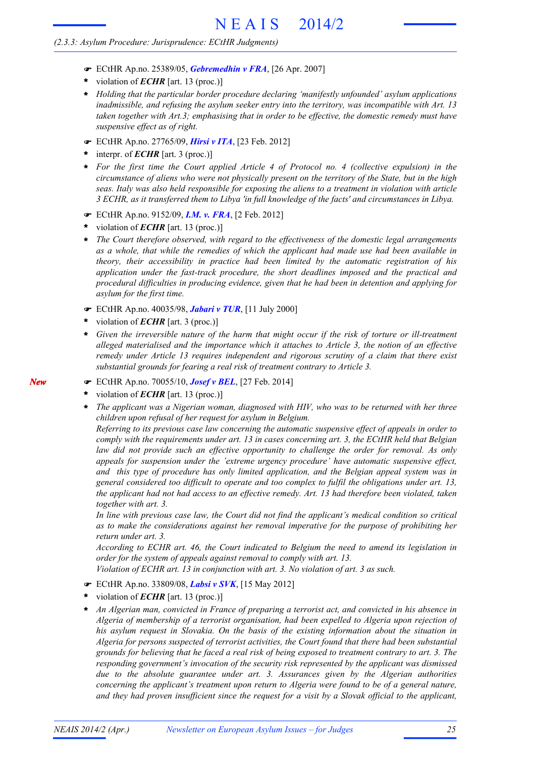- F ECtHR Ap.no. 25389/05, *Gebremedhin v FRA*, [26 Apr. 2007]
- violation of *ECHR* [art. 13 (proc.)] **\***
- *Holding that the particular border procedure declaring 'manifestly unfounded' asylum applications* **\*** *inadmissible, and refusing the asylum seeker entry into the territory, was incompatible with Art. 13 taken together with Art.3; emphasising that in order to be effective, the domestic remedy must have suspensive effect as of right.*
- F ECtHR Ap.no. 27765/09, *Hirsi v ITA*, [23 Feb. 2012]
- interpr. of *ECHR* [art. 3 (proc.)] **\***
- *For the first time the Court applied Article 4 of Protocol no. 4 (collective expulsion) in the* **\*** circumstance of aliens who were not physically present on the territory of the State, but in the high *seas. Italy was also held responsible for exposing the aliens to a treatment in violation with article 3 ECHR, as it transferred them to Libya 'in full knowledge of the facts' and circumstances in Libya.*
- F ECtHR Ap.no. 9152/09, *I.M. v. FRA*, [2 Feb. 2012]
- violation of *ECHR* [art. 13 (proc.)] **\***
- *The Court therefore observed, with regard to the effectiveness of the domestic legal arrangements as a whole, that while the remedies of which the applicant had made use had been available in theory, their accessibility in practice had been limited by the automatic registration of his application under the fast-track procedure, the short deadlines imposed and the practical and procedural difficulties in producing evidence, given that he had been in detention and applying for asylum for the first time.* **\***
- F ECtHR Ap.no. 40035/98, *Jabari v TUR*, [11 July 2000]
- violation of *ECHR* [art. 3 (proc.)] **\***
- \* Given the irreversible nature of the harm that might occur if the risk of torture or ill-treatment *alleged materialised and the importance which it attaches to Article 3, the notion of an effective remedy under Article 13 requires independent and rigorous scrutiny of a claim that there exist substantial grounds for fearing a real risk of treatment contrary to Article 3.*
- F ECtHR Ap.no. 70055/10, *Josef v BEL*, [27 Feb. 2014]
- violation of *ECHR* [art. 13 (proc.)] **\***
- *The applicant was a Nigerian woman, diagnosed with HIV, who was to be returned with her three children upon refusal of her request for asylum in Belgium.* **\***

*Referring to its previous case law concerning the automatic suspensive effect of appeals in order to comply with the requirements under art. 13 in cases concerning art. 3, the ECtHR held that Belgian law did not provide such an effective opportunity to challenge the order for removal. As only appeals for suspension under the 'extreme urgency procedure' have automatic suspensive effect, and this type of procedure has only limited application, and the Belgian appeal system was in general considered too difficult to operate and too complex to fulfil the obligations under art. 13, the applicant had not had access to an effective remedy. Art. 13 had therefore been violated, taken together with art. 3.*

*In line with previous case law, the Court did not find the applicant's medical condition so critical as to make the considerations against her removal imperative for the purpose of prohibiting her return under art. 3.*

*According to ECHR art. 46, the Court indicated to Belgium the need to amend its legislation in order for the system of appeals against removal to comply with art. 13.*

*Violation of ECHR art. 13 in conjunction with art. 3. No violation of art. 3 as such.*

- F ECtHR Ap.no. 33809/08, *Labsi v SVK*, [15 May 2012]
- violation of *ECHR* [art. 13 (proc.)] **\***
- *An Algerian man, convicted in France of preparing a terrorist act, and convicted in his absence in Algeria of membership of a terrorist organisation, had been expelled to Algeria upon rejection of his asylum request in Slovakia. On the basis of the existing information about the situation in Algeria for persons suspected of terrorist activities, the Court found that there had been substantial* grounds for believing that he faced a real risk of being exposed to treatment contrary to art. 3. The *responding government's invocation of the security risk represented by the applicant was dismissed due to the absolute guarantee under art. 3. Assurances given by the Algerian authorities concerning the applicant's treatment upon return to Algeria were found to be of a general nature,* and they had proven insufficient since the request for a visit by a Slovak official to the applicant, **\***

*New*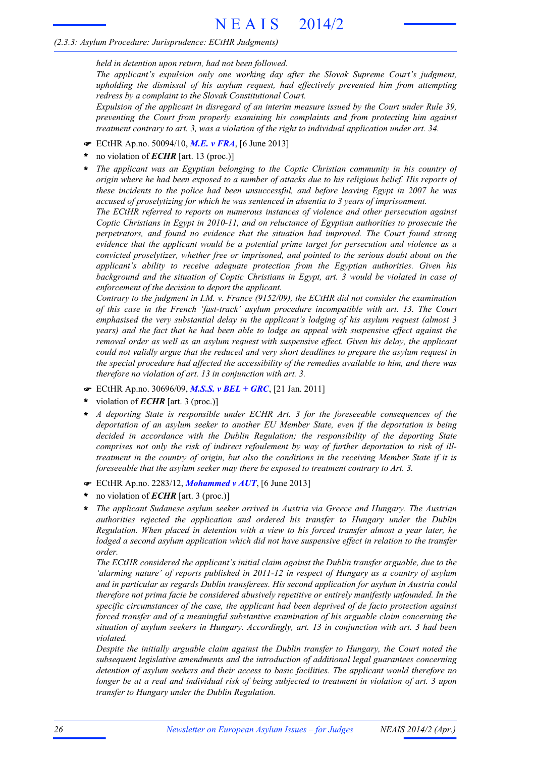*held in detention upon return, had not been followed.*

*The applicant's expulsion only one working day after the Slovak Supreme Court's judgment, upholding the dismissal of his asylum request, had effectively prevented him from attempting redress by a complaint to the Slovak Constitutional Court.*

*Expulsion of the applicant in disregard of an interim measure issued by the Court under Rule 39, preventing the Court from properly examining his complaints and from protecting him against treatment contrary to art. 3, was a violation of the right to individual application under art. 34.*

- F ECtHR Ap.no. 50094/10, *M.E. v FRA*, [6 June 2013]
- no violation of *ECHR* [art. 13 (proc.)] **\***
- *The applicant was an Egyptian belonging to the Coptic Christian community in his country of* origin where he had been exposed to a number of attacks due to his religious belief. His reports of *these incidents to the police had been unsuccessful, and before leaving Egypt in 2007 he was accused of proselytizing for which he was sentenced in absentia to 3 years of imprisonment.* **\***

*The ECtHR referred to reports on numerous instances of violence and other persecution against Coptic Christians in Egypt in 2010-11, and on reluctance of Egyptian authorities to prosecute the perpetrators, and found no evidence that the situation had improved. The Court found strong evidence that the applicant would be a potential prime target for persecution and violence as a convicted proselytizer, whether free or imprisoned, and pointed to the serious doubt about on the applicant's ability to receive adequate protection from the Egyptian authorities. Given his background and the situation of Coptic Christians in Egypt, art. 3 would be violated in case of enforcement of the decision to deport the applicant.*

*Contrary to the judgment in I.M. v. France (9152/09), the ECtHR did not consider the examination of this case in the French 'fast-track' asylum procedure incompatible with art. 13. The Court emphasised the very substantial delay in the applicant's lodging of his asylum request (almost 3 years) and the fact that he had been able to lodge an appeal with suspensive effect against the removal order as well as an asylum request with suspensive effect. Given his delay, the applicant could not validly argue that the reduced and very short deadlines to prepare the asylum request in the special procedure had affected the accessibility of the remedies available to him, and there was therefore no violation of art. 13 in conjunction with art. 3.*

- F ECtHR Ap.no. 30696/09, *M.S.S. v BEL + GRC*, [21 Jan. 2011]
- violation of *ECHR* [art. 3 (proc.)] **\***
- *A deporting State is responsible under ECHR Art. 3 for the foreseeable consequences of the deportation of an asylum seeker to another EU Member State, even if the deportation is being decided in accordance with the Dublin Regulation; the responsibility of the deporting State comprises not only the risk of indirect refoulement by way of further deportation to risk of illtreatment in the country of origin, but also the conditions in the receiving Member State if it is foreseeable that the asylum seeker may there be exposed to treatment contrary to Art. 3.* **\***
- F ECtHR Ap.no. 2283/12, *Mohammed v AUT*, [6 June 2013]
- no violation of *ECHR* [art. 3 (proc.)] **\***
- *The applicant Sudanese asylum seeker arrived in Austria via Greece and Hungary. The Austrian authorities rejected the application and ordered his transfer to Hungary under the Dublin Regulation. When placed in detention with a view to his forced transfer almost a year later, he lodged a second asylum application which did not have suspensive effect in relation to the transfer order.* **\***

*The ECtHR considered the applicant's initial claim against the Dublin transfer arguable, due to the 'alarming nature' of reports published in 2011-12 in respect of Hungary as a country of asylum and in particular as regards Dublin transferees. His second application for asylum in Austria could therefore not prima facie be considered abusively repetitive or entirely manifestly unfounded. In the specific circumstances of the case, the applicant had been deprived of de facto protection against forced transfer and of a meaningful substantive examination of his arguable claim concerning the situation of asylum seekers in Hungary. Accordingly, art. 13 in conjunction with art. 3 had been violated.*

*Despite the initially arguable claim against the Dublin transfer to Hungary, the Court noted the subsequent legislative amendments and the introduction of additional legal guarantees concerning detention of asylum seekers and their access to basic facilities. The applicant would therefore no* longer be at a real and individual risk of being subjected to treatment in violation of art. 3 upon *transfer to Hungary under the Dublin Regulation.*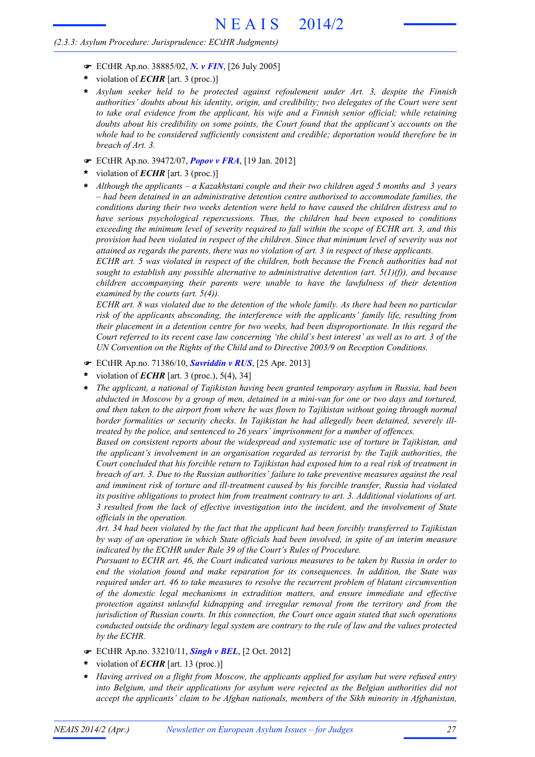- F ECtHR Ap.no. 38885/02, *N. v FIN*, [26 July 2005]
- violation of *ECHR* [art. 3 (proc.)] **\***
- *Asylum seeker held to be protected against refoulement under Art. 3, despite the Finnish* **\*** *authorities' doubts about his identity, origin, and credibility; two delegates of the Court were sent to take oral evidence from the applicant, his wife and a Finnish senior official; while retaining doubts about his credibility on some points, the Court found that the applicant's accounts on the whole had to be considered sufficiently consistent and credible; deportation would therefore be in breach of Art. 3.*
- F ECtHR Ap.no. 39472/07, *Popov v FRA*, [19 Jan. 2012]
- violation of *ECHR* [art. 3 (proc.)] **\***
- *Although the applicants – a Kazakhstani couple and their two children aged 5 months and 3 years – had been detained in an administrative detention centre authorised to accommodate families, the conditions during their two weeks detention were held to have caused the children distress and to have serious psychological repercussions. Thus, the children had been exposed to conditions exceeding the minimum level of severity required to fall within the scope of ECHR art. 3, and this provision had been violated in respect of the children. Since that minimum level of severity was not attained as regards the parents, there was no violation of art. 3 in respect of these applicants.* **\***

*ECHR art. 5 was violated in respect of the children, both because the French authorities had not sought to establish any possible alternative to administrative detention (art. 5(1)(f)), and because children accompanying their parents were unable to have the lawfulness of their detention examined by the courts (art. 5(4)).*

ECHR art. 8 was violated due to the detention of the whole family. As there had been no particular *risk of the applicants absconding, the interference with the applicants' family life, resulting from their placement in a detention centre for two weeks, had been disproportionate. In this regard the* Court referred to its recent case law concerning 'the child's best interest' as well as to art. 3 of the *UN Convention on the Rights of the Child and to Directive 2003/9 on Reception Conditions.*

- F ECtHR Ap.no. 71386/10, *Savriddin v RUS*, [25 Apr. 2013]
- violation of *ECHR* [art. 3 (proc.), 5(4), 34] **\***
- *The applicant, a national of Tajikistan having been granted temporary asylum in Russia, had been* abducted in Moscow by a group of men, detained in a mini-van for one or two days and tortured, *and then taken to the airport from where he was flown to Tajikistan without going through normal border formalities or security checks. In Tajikistan he had allegedly been detained, severely illtreated by the police, and sentenced to 26 years' imprisonment for a number of offences.* **\***

*Based on consistent reports about the widespread and systematic use of torture in Tajikistan, and the applicant's involvement in an organisation regarded as terrorist by the Tajik authorities, the* Court concluded that his forcible return to Tajikistan had exposed him to a real risk of treatment in *breach of art. 3. Due to the Russian authorities' failure to take preventive measures against the real and imminent risk of torture and ill-treatment caused by his forcible transfer, Russia had violated its positive obligations to protect him from treatment contrary to art. 3. Additional violations of art. 3 resulted from the lack of effective investigation into the incident, and the involvement of State officials in the operation.*

*Art. 34 had been violated by the fact that the applicant had been forcibly transferred to Tajikistan by way of an operation in which State officials had been involved, in spite of an interim measure indicated by the ECtHR under Rule 39 of the Court's Rules of Procedure.*

*Pursuant to ECHR art. 46, the Court indicated various measures to be taken by Russia in order to end the violation found and make reparation for its consequences. In addition, the State was required under art. 46 to take measures to resolve the recurrent problem of blatant circumvention of the domestic legal mechanisms in extradition matters, and ensure immediate and effective protection against unlawful kidnapping and irregular removal from the territory and from the jurisdiction of Russian courts. In this connection, the Court once again stated that such operations conducted outside the ordinary legal system are contrary to the rule of law and the values protected by the ECHR.*

- F ECtHR Ap.no. 33210/11, *Singh v BEL*, [2 Oct. 2012]
- violation of *ECHR* [art. 13 (proc.)] **\***
- *Having arrived on a flight from Moscow, the applicants applied for asylum but were refused entry into Belgium, and their applications for asylum were rejected as the Belgian authorities did not accept the applicants' claim to be Afghan nationals, members of the Sikh minority in Afghanistan,* **\***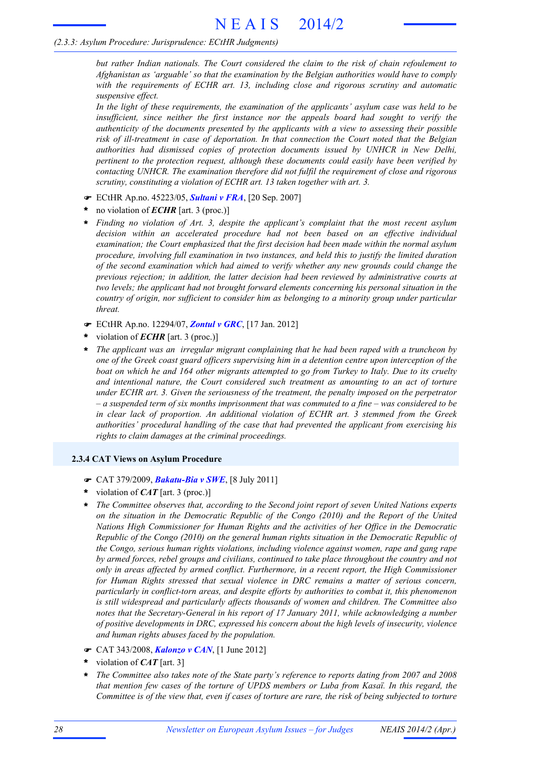*but rather Indian nationals. The Court considered the claim to the risk of chain refoulement to Afghanistan as 'arguable' so that the examination by the Belgian authorities would have to comply with the requirements of ECHR art. 13, including close and rigorous scrutiny and automatic suspensive effect.*

*In the light of these requirements, the examination of the applicants' asylum case was held to be insufficient, since neither the first instance nor the appeals board had sought to verify the authenticity of the documents presented by the applicants with a view to assessing their possible risk of ill-treatment in case of deportation. In that connection the Court noted that the Belgian authorities had dismissed copies of protection documents issued by UNHCR in New Delhi, pertinent to the protection request, although these documents could easily have been verified by contacting UNHCR. The examination therefore did not fulfil the requirement of close and rigorous scrutiny, constituting a violation of ECHR art. 13 taken together with art. 3.*

- F ECtHR Ap.no. 45223/05, *Sultani v FRA*, [20 Sep. 2007]
- no violation of *ECHR* [art. 3 (proc.)] **\***
- *Finding no violation of Art. 3, despite the applicant's complaint that the most recent asylum decision within an accelerated procedure had not been based on an effective individual examination; the Court emphasized that the first decision had been made within the normal asylum procedure, involving full examination in two instances, and held this to justify the limited duration of the second examination which had aimed to verify whether any new grounds could change the previous rejection; in addition, the latter decision had been reviewed by administrative courts at two levels; the applicant had not brought forward elements concerning his personal situation in the country of origin, nor sufficient to consider him as belonging to a minority group under particular threat.* **\***
- F ECtHR Ap.no. 12294/07, *Zontul v GRC*, [17 Jan. 2012]
- violation of *ECHR* [art. 3 (proc.)] **\***
- *The applicant was an irregular migrant complaining that he had been raped with a truncheon by one of the Greek coast guard officers supervising him in a detention centre upon interception of the* boat on which he and 164 other migrants attempted to go from Turkey to Italy. Due to its cruelty *and intentional nature, the Court considered such treatment as amounting to an act of torture under ECHR art. 3. Given the seriousness of the treatment, the penalty imposed on the perpetrator*  $-$  a suspended term of six months imprisonment that was commuted to a fine  $-$  was considered to be *in clear lack of proportion. An additional violation of ECHR art. 3 stemmed from the Greek authorities' procedural handling of the case that had prevented the applicant from exercising his rights to claim damages at the criminal proceedings.* **\***

#### **2.3.4 CAT Views on Asylum Procedure**

- F CAT 379/2009, *Bakatu-Bia v SWE*, [8 July 2011]
- violation of *CAT* [art. 3 (proc.)] **\***
- *The Committee observes that, according to the Second joint report of seven United Nations experts on the situation in the Democratic Republic of the Congo (2010) and the Report of the United Nations High Commissioner for Human Rights and the activities of her Office in the Democratic Republic of the Congo (2010) on the general human rights situation in the Democratic Republic of the Congo, serious human rights violations, including violence against women, rape and gang rape by armed forces, rebel groups and civilians, continued to take place throughout the country and not only in areas affected by armed conflict. Furthermore, in a recent report, the High Commissioner for Human Rights stressed that sexual violence in DRC remains a matter of serious concern, particularly in conflict-torn areas, and despite efforts by authorities to combat it, this phenomenon is still widespread and particularly affects thousands of women and children. The Committee also notes that the Secretary-General in his report of 17 January 2011, while acknowledging a number of positive developments in DRC, expressed his concern about the high levels of insecurity, violence and human rights abuses faced by the population.* **\***
- F CAT 343/2008, *Kalonzo v CAN*, [1 June 2012]
- violation of *CAT* [art. 3] **\***
- *The Committee also takes note of the State party's reference to reports dating from 2007 and 2008 that mention few cases of the torture of UPDS members or Luba from Kasaï. In this regard, the* Committee is of the view that, even if cases of torture are rare, the risk of being subjected to torture **\***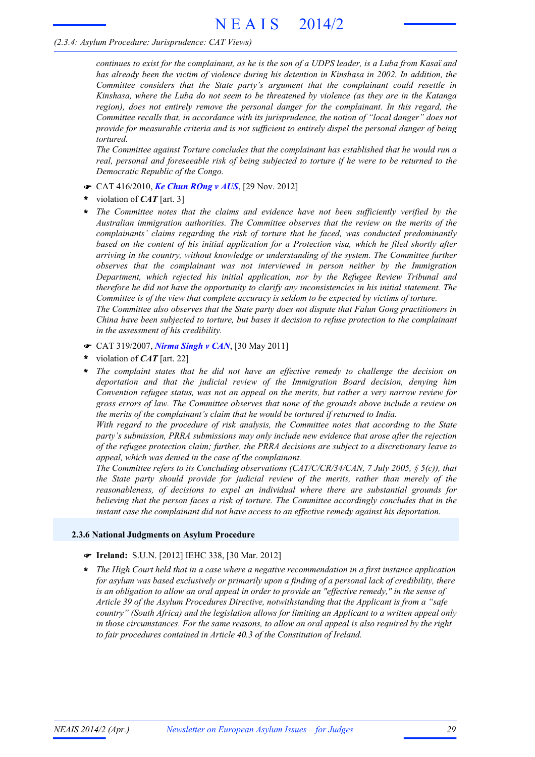# *(2.3.4: Asylum Procedure: Jurisprudence: CAT Views)*

continues to exist for the complainant, as he is the son of a UDPS leader, is a Luba from Kasaï and *has already been the victim of violence during his detention in Kinshasa in 2002. In addition, the Committee considers that the State party's argument that the complainant could resettle in Kinshasa, where the Luba do not seem to be threatened by violence (as they are in the Katanga region), does not entirely remove the personal danger for the complainant. In this regard, the Committee recalls that, in accordance with its jurisprudence, the notion of "local danger" does not provide for measurable criteria and is not sufficient to entirely dispel the personal danger of being tortured.*

*The Committee against Torture concludes that the complainant has established that he would run a real, personal and foreseeable risk of being subjected to torture if he were to be returned to the Democratic Republic of the Congo.*

- F CAT 416/2010, *Ke Chun ROng v AUS*, [29 Nov. 2012]
- violation of *CAT* [art. 3] **\***
- *The Committee notes that the claims and evidence have not been sufficiently verified by the Australian immigration authorities. The Committee observes that the review on the merits of the complainants' claims regarding the risk of torture that he faced, was conducted predominantly based on the content of his initial application for a Protection visa, which he filed shortly after arriving in the country, without knowledge or understanding of the system. The Committee further observes that the complainant was not interviewed in person neither by the Immigration Department, which rejected his initial application, nor by the Refugee Review Tribunal and therefore he did not have the opportunity to clarify any inconsistencies in his initial statement. The Committee is of the view that complete accuracy is seldom to be expected by victims of torture. The Committee also observes that the State party does not dispute that Falun Gong practitioners in China have been subjected to torture, but bases it decision to refuse protection to the complainant in the assessment of his credibility.* **\***
- F CAT 319/2007, *Nirma Singh v CAN*, [30 May 2011]
- violation of *CAT* [art. 22] **\***
- *The complaint states that he did not have an effective remedy to challenge the decision on deportation and that the judicial review of the Immigration Board decision, denying him Convention refugee status, was not an appeal on the merits, but rather a very narrow review for gross errors of law. The Committee observes that none of the grounds above include a review on the merits of the complainant's claim that he would be tortured if returned to India.* **\***

*With regard to the procedure of risk analysis, the Committee notes that according to the State party's submission, PRRA submissions may only include new evidence that arose after the rejection of the refugee protection claim; further, the PRRA decisions are subject to a discretionary leave to appeal, which was denied in the case of the complainant.*

*The Committee refers to its Concluding observations (CAT/C/CR/34/CAN, 7 July 2005, § 5(c)), that the State party should provide for judicial review of the merits, rather than merely of the reasonableness, of decisions to expel an individual where there are substantial grounds for believing that the person faces a risk of torture. The Committee accordingly concludes that in the instant case the complainant did not have access to an effective remedy against his deportation.*

#### **2.3.6 National Judgments on Asylum Procedure**

#### F **Ireland:** S.U.N. [2012] IEHC 338, [30 Mar. 2012]

*The High Court held that in a case where a negative recommendation in a first instance application for asylum was based exclusively or primarily upon a finding of a personal lack of credibility, there is an obligation to allow an oral appeal in order to provide an "effective remedy," in the sense of Article 39 of the Asylum Procedures Directive, notwithstanding that the Applicant is from a "safe country" (South Africa) and the legislation allows for limiting an Applicant to a written appeal only in those circumstances. For the same reasons, to allow an oral appeal is also required by the right to fair procedures contained in Article 40.3 of the Constitution of Ireland.* **\***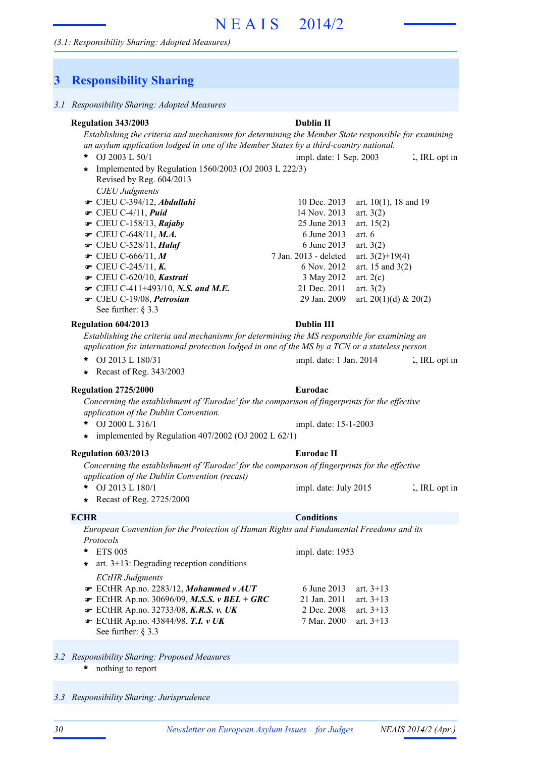# **3 Responsibility Sharing**

# *Establishing the criteria and mechanisms for determining the Member State responsible for examining an asylum application lodged in one of the Member States by a third-country national.* OJ 2003 L 50/1 UK, IRL opt in impl. date: 1 Sep. 2003 L, IRL opt in *CJEU Judgments* **■** CJEU C-394/12, *Abdullahi* 10 Dec. 2013 art. 10(1), 18 and 19 **■** CJEU C-4/11, *Puid* 14 Nov. 2013 art. 3(2) **■** CJEU C-158/13, *Rajaby* 25 June 2013 art. 15(2) **■** CJEU C-648/11, *M.A.* 6 June 2013 art. 6 • CJEU C-528/11, *Halaf* 6 June 2013 art. 3(2) 7 Jan. 2013 - deleted art. 3(2)+19(4) • CJEU C-245/11, *K*. 6 Nov. 2012 art. 15 and 3(2)  $\bullet$  CJEU C-620/10, *Kastrati* 3 May 2012 art. 2(c) **■** CJEU C-411+493/10, *N.S. and M.E.* 21 Dec. 2011 art. 3(2)  $\bullet$  CJEU C-19/08, *Petrosian* 29 Jan. 2009 art. 20(1)(d) & 20(2) See further: § 3.3 **Regulation 343/2003 Dublin II**  $\bullet$  CJEU C-666/11, M \*  $OL 2003 L 50/1$ Implemented by Regulation 1560/2003 (OJ 2003 L 222/3) **\*** Revised by Reg. 604/2013 *Establishing the criteria and mechanisms for determining the MS responsible for examining an application for international protection lodged in one of the MS by a TCN or a stateless person* **\*** OJ 2013 L 180/31 impl. date: 1 Jan. 2014 ... FIRL opt in **Regulation 604/2013 Dublin III \*** Recast of Reg. 343/2003 *Concerning the establishment of 'Eurodac' for the comparison of fingerprints for the effective application of the Dublin Convention.* OJ 2000 L 316/1 **Regulation 2725/2000 Eurodac \*** impl. date: 15-1-2003 **\*** implemented by Regulation 407/2002 (OJ 2002 L 62/1) *Concerning the establishment of 'Eurodac' for the comparison of fingerprints for the effective application of the Dublin Convention (recast)* **\*** OJ 2013 L 180/1 impl. date: July 2015 **.** IRL opt in **Regulation 603/2013 Eurodac II \*** Recast of Reg. 2725/2000 *European Convention for the Protection of Human Rights and Fundamental Freedoms and its Protocols* ETS 005 **\*** *ECtHR Judgments*  $\blacktriangleright$  ECtHR Ap.no. 2283/12, *Mohammed v AUT* 6 June 2013 art. 3+13 ECtHR Ap.no. 30696/09, *M.S.S. v BEL + GRC* 21 Jan. 2011 art. 3+13 F **■** ECtHR Ap.no. 32733/08, *K.R.S. v. UK* 2 Dec. 2008 art. 3+13 impl. date: 1953 **\*** art. 3+13: Degrading reception conditions **ECHR Conditions**

- *3.2 Responsibility Sharing: Proposed Measures*
	- nothing to report **\***

See further: § 3.3

*3.3 Responsibility Sharing: Jurisprudence*

**■** ECtHR Ap.no. 43844/98, **T.I.** *v UK* 7 Mar. 2000 art. 3+13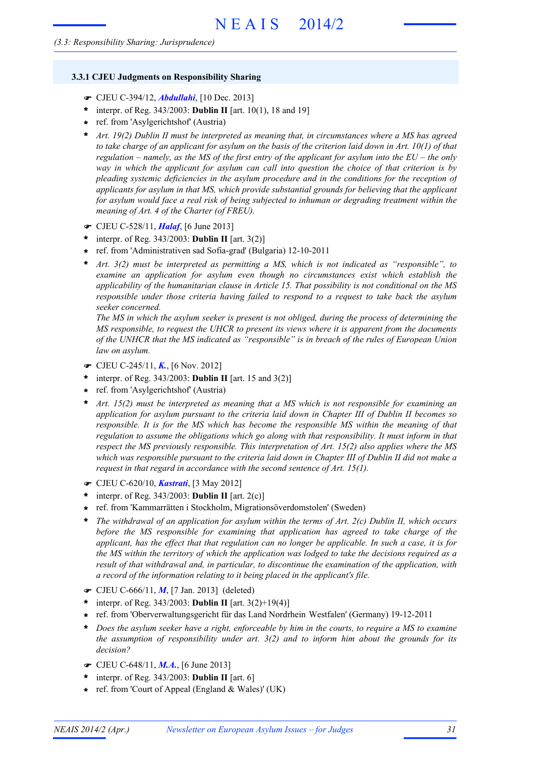#### **3.3.1 CJEU Judgments on Responsibility Sharing**

- F CJEU C-394/12, *Abdullahi*, [10 Dec. 2013]
- interpr. of Reg. 343/2003: **Dublin II** [art. 10(1), 18 and 19] **\***
- ref. from 'Asylgerichtshof' (Austria) **\***
- *Art. 19(2) Dublin II must be interpreted as meaning that, in circumstances where a MS has agreed* **\*** to take charge of an applicant for asylum on the basis of the criterion laid down in Art.  $10(1)$  of that regulation – namely, as the MS of the first entry of the applicant for asylum into the  $EU$  – the only *way in which the applicant for asylum can call into question the choice of that criterion is by pleading systemic deficiencies in the asylum procedure and in the conditions for the reception of applicants for asylum in that MS, which provide substantial grounds for believing that the applicant for asylum would face a real risk of being subjected to inhuman or degrading treatment within the meaning of Art. 4 of the Charter (of FREU).*
- F CJEU C-528/11, *Halaf*, [6 June 2013]
- $*$  interpr. of Reg. 343/2003: **Dublin II** [art. 3(2)]
- ref. from 'Administrativen sad Sofia-grad' (Bulgaria) 12-10-2011 **\***
- *Art. 3(2) must be interpreted as permitting a MS, which is not indicated as "responsible", to examine an application for asylum even though no circumstances exist which establish the applicability of the humanitarian clause in Article 15. That possibility is not conditional on the MS responsible under those criteria having failed to respond to a request to take back the asylum seeker concerned.* **\***

*The MS in which the asylum seeker is present is not obliged, during the process of determining the MS responsible, to request the UHCR to present its views where it is apparent from the documents of the UNHCR that the MS indicated as "responsible" is in breach of the rules of European Union law on asylum.*

- F CJEU C-245/11, *K.*, [6 Nov. 2012]
- interpr. of Reg. 343/2003: **Dublin II** [art. 15 and 3(2)] **\***
- ref. from 'Asylgerichtshof' (Austria) **\***
- *Art. 15(2) must be interpreted as meaning that a MS which is not responsible for examining an application for asylum pursuant to the criteria laid down in Chapter III of Dublin II becomes so responsible. It is for the MS which has become the responsible MS within the meaning of that regulation to assume the obligations which go along with that responsibility. It must inform in that respect the MS previously responsible. This interpretation of Art. 15(2) also applies where the MS* which was responsible pursuant to the criteria laid down in Chapter III of Dublin II did not make a *request in that regard in accordance with the second sentence of Art. 15(1).* **\***
- F CJEU C-620/10, *Kastrati*, [3 May 2012]
- $*$  interpr. of Reg. 343/2003: **Dublin II** [art. 2(c)]
- ref. from 'Kammarrätten i Stockholm, Migrationsöverdomstolen' (Sweden) **\***
- *The withdrawal of an application for asylum within the terms of Art. 2(c) Dublin II, which occurs before the MS responsible for examining that application has agreed to take charge of the* applicant, has the effect that that regulation can no longer be applicable. In such a case, it is for the MS within the territory of which the application was lodged to take the decisions required as a *result of that withdrawal and, in particular, to discontinue the examination of the application, with a record of the information relating to it being placed in the applicant's file.* **\***
- F CJEU C-666/11, *M*, [7 Jan. 2013] (deleted)
- \* interpr. of Reg.  $343/2003$ : **Dublin II** [art.  $3(2)+19(4)$ ]
- ref. from 'Oberverwaltungsgericht für das Land Nordrhein Westfalen' (Germany) 19-12-2011 **\***
- Does the asylum seeker have a right, enforceable by him in the courts, to reauire a MS to examine *the assumption of responsibility under art. 3(2) and to inform him about the grounds for its decision?* **\***
- F CJEU C-648/11, *M.A.*, [6 June 2013]
- interpr. of Reg. 343/2003: **Dublin II** [art. 6] **\***
- ref. from 'Court of Appeal (England & Wales)' (UK) **\***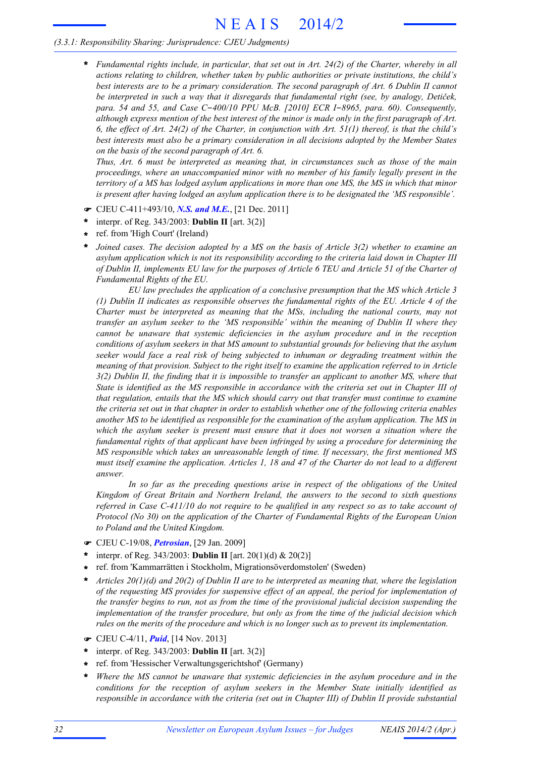# *(3.3.1: Responsibility Sharing: Jurisprudence: CJEU Judgments)*

*Fundamental rights include, in particular, that set out in Art. 24(2) of the Charter, whereby in all actions relating to children, whether taken by public authorities or private institutions, the child's best interests are to be a primary consideration. The second paragraph of Art. 6 Dublin II cannot be interpreted in such a way that it disregards that fundamental right (see, by analogy, Detiček, para. 54 and 55, and Case C*-*400/10 PPU McB. [2010] ECR I*-*8965, para. 60). Consequently,* although express mention of the best interest of the minor is made only in the first paragraph of Art. 6, the effect of Art. 24(2) of the Charter, in conjunction with Art.  $51(1)$  thereof, is that the child's *best interests must also be a primary consideration in all decisions adopted by the Member States on the basis of the second paragraph of Art. 6.* **\***

*Thus, Art. 6 must be interpreted as meaning that, in circumstances such as those of the main proceedings, where an unaccompanied minor with no member of his family legally present in the* territory of a MS has lodged asylum applications in more than one MS, the MS in which that minor *is present after having lodged an asylum application there is to be designated the 'MS responsible'.*

- F CJEU C-411+493/10, *N.S. and M.E.*, [21 Dec. 2011]
- interpr. of Reg. 343/2003: **Dublin II** [art. 3(2)] **\***
- ref. from 'High Court' (Ireland) **\***
- *Joined cases. The decision adopted by a MS on the basis of Article 3(2) whether to examine an asylum application which is not its responsibility according to the criteria laid down in Chapter III* of Dublin II, implements EU law for the purposes of Article 6 TEU and Article 51 of the Charter of *Fundamental Rights of the EU.* **\***

*EU law precludes the application of a conclusive presumption that the MS which Article 3 (1) Dublin II indicates as responsible observes the fundamental rights of the EU. Article 4 of the Charter must be interpreted as meaning that the MSs, including the national courts, may not transfer an asylum seeker to the 'MS responsible' within the meaning of Dublin II where they cannot be unaware that systemic deficiencies in the asylum procedure and in the reception conditions of asylum seekers in that MS amount to substantial grounds for believing that the asylum seeker would face a real risk of being subjected to inhuman or degrading treatment within the meaning of that provision. Subject to the right itself to examine the application referred to in Article* 3(2) Dublin II, the finding that it is impossible to transfer an applicant to another MS, where that State is identified as the MS responsible in accordance with the criteria set out in Chapter III of *that regulation, entails that the MS which should carry out that transfer must continue to examine* the criteria set out in that chapter in order to establish whether one of the following criteria enables *another MS to be identified as responsible for the examination of the asylum application. The MS in which the asylum seeker is present must ensure that it does not worsen a situation where the fundamental rights of that applicant have been infringed by using a procedure for determining the MS responsible which takes an unreasonable length of time. If necessary, the first mentioned MS* must itself examine the application. Articles 1, 18 and 47 of the Charter do not lead to a different *answer.*

*In so far as the preceding questions arise in respect of the obligations of the United Kingdom of Great Britain and Northern Ireland, the answers to the second to sixth questions* referred in Case C-411/10 do not require to be qualified in any respect so as to take account of *Protocol (No 30) on the application of the Charter of Fundamental Rights of the European Union to Poland and the United Kingdom.*

- F CJEU C-19/08, *Petrosian*, [29 Jan. 2009]
- interpr. of Reg. 343/2003: **Dublin II** [art. 20(1)(d) & 20(2)] **\***
- ref. from 'Kammarrätten i Stockholm, Migrationsöverdomstolen' (Sweden) **\***
- *Articles 20(1)(d) and 20(2) of Dublin II are to be interpreted as meaning that, where the legislation of the requesting MS provides for suspensive effect of an appeal, the period for implementation of the transfer begins to run, not as from the time of the provisional judicial decision suspending the implementation of the transfer procedure, but only as from the time of the judicial decision which rules on the merits of the procedure and which is no longer such as to prevent its implementation.* **\***
- F CJEU C-4/11, *Puid*, [14 Nov. 2013]
- interpr. of Reg. 343/2003: **Dublin II** [art. 3(2)] **\***
- ref. from 'Hessischer Verwaltungsgerichtshof' (Germany) **\***
- *Where the MS cannot be unaware that systemic deficiencies in the asylum procedure and in the conditions for the reception of asylum seekers in the Member State initially identified as responsible in accordance with the criteria (set out in Chapter III) of Dublin II provide substantial* **\***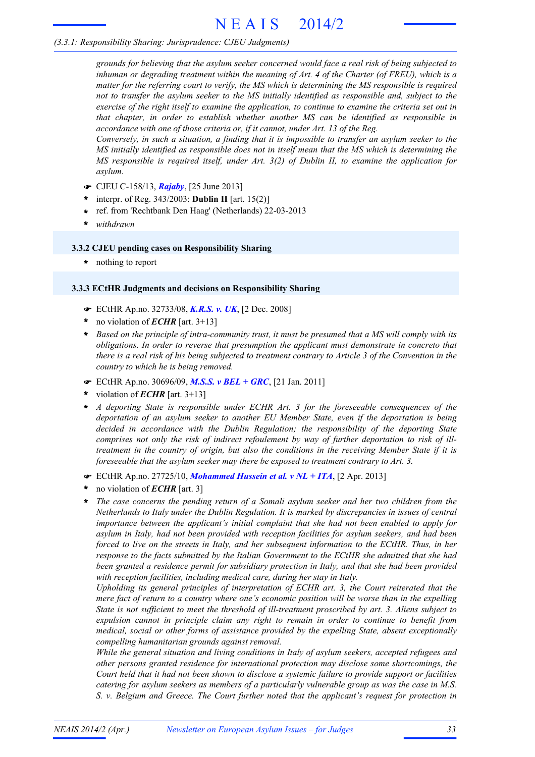# N E A I S 2014/2

# *(3.3.1: Responsibility Sharing: Jurisprudence: CJEU Judgments)*

*grounds for believing that the asylum seeker concerned would face a real risk of being subjected to inhuman or degrading treatment within the meaning of Art. 4 of the Charter (of FREU), which is a matter for the referring court to verify, the MS which is determining the MS responsible is required not to transfer the asylum seeker to the MS initially identified as responsible and, subject to the* exercise of the right itself to examine the application, to continue to examine the criteria set out in *that chapter, in order to establish whether another MS can be identified as responsible in accordance with one of those criteria or, if it cannot, under Art. 13 of the Reg.*

Conversely, in such a situation, a finding that it is impossible to transfer an asylum seeker to the *MS initially identified as responsible does not in itself mean that the MS which is determining the MS responsible is required itself, under Art. 3(2) of Dublin II, to examine the application for asylum.*

- F CJEU C-158/13, *Rajaby*, [25 June 2013]
- interpr. of Reg. 343/2003: **Dublin II** [art. 15(2)] **\***
- ref. from 'Rechtbank Den Haag' (Netherlands) 22-03-2013 **\***
- **\*** *withdrawn*

#### **3.3.2 CJEU pending cases on Responsibility Sharing**

**\*** nothing to report

#### **3.3.3 ECtHR Judgments and decisions on Responsibility Sharing**

- F ECtHR Ap.no. 32733/08, *K.R.S. v. UK*, [2 Dec. 2008]
- no violation of *ECHR* [art. 3+13] **\***
- \* Based on the principle of intra-community trust, it must be presumed that a MS will comply with its *obligations. In order to reverse that presumption the applicant must demonstrate in concreto that* there is a real risk of his being subjected to treatment contrary to Article 3 of the Convention in the *country to which he is being removed.*
- F ECtHR Ap.no. 30696/09, *M.S.S. v BEL + GRC*, [21 Jan. 2011]
- violation of *ECHR* [art. 3+13] **\***
- *A deporting State is responsible under ECHR Art. 3 for the foreseeable consequences of the deportation of an asylum seeker to another EU Member State, even if the deportation is being decided in accordance with the Dublin Regulation; the responsibility of the deporting State comprises not only the risk of indirect refoulement by way of further deportation to risk of illtreatment in the country of origin, but also the conditions in the receiving Member State if it is foreseeable that the asylum seeker may there be exposed to treatment contrary to Art. 3.* **\***
- F ECtHR Ap.no. 27725/10, *Mohammed Hussein et al. v NL + ITA*, [2 Apr. 2013]
- no violation of *ECHR* [art. 3] **\***
- *The case concerns the pending return of a Somali asylum seeker and her two children from the Netherlands to Italy under the Dublin Regulation. It is marked by discrepancies in issues of central importance between the applicant's initial complaint that she had not been enabled to apply for asylum in Italy, had not been provided with reception facilities for asylum seekers, and had been forced to live on the streets in Italy, and her subsequent information to the ECtHR. Thus, in her response to the facts submitted by the Italian Government to the ECtHR she admitted that she had been granted a residence permit for subsidiary protection in Italy, and that she had been provided with reception facilities, including medical care, during her stay in Italy.* **\***

*Upholding its general principles of interpretation of ECHR art. 3, the Court reiterated that the mere fact of return to a country where one's economic position will be worse than in the expelling State is not sufficient to meet the threshold of ill-treatment proscribed by art. 3. Aliens subject to expulsion cannot in principle claim any right to remain in order to continue to benefit from medical, social or other forms of assistance provided by the expelling State, absent exceptionally compelling humanitarian grounds against removal.*

*While the general situation and living conditions in Italy of asylum seekers, accepted refugees and other persons granted residence for international protection may disclose some shortcomings, the* Court held that it had not been shown to disclose a systemic failure to provide support or facilities *catering for asylum seekers as members of a particularly vulnerable group as was the case in M.S. S. v. Belgium and Greece. The Court further noted that the applicant's request for protection in*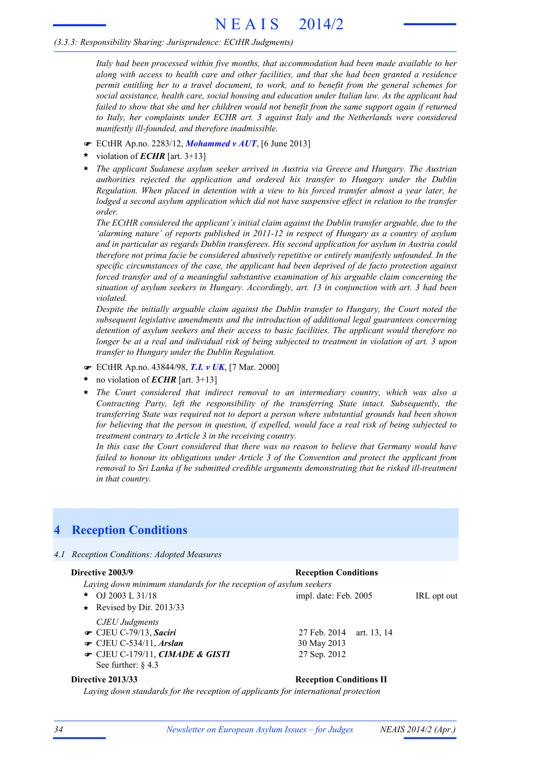# *(3.3.3: Responsibility Sharing: Jurisprudence: ECtHR Judgments)*

*Italy had been processed within five months, that accommodation had been made available to her along with access to health care and other facilities, and that she had been granted a residence permit entitling her to a travel document, to work, and to benefit from the general schemes for social assistance, health care, social housing and education under Italian law. As the applicant had failed to show that she and her children would not benefit from the same support again if returned to Italy, her complaints under ECHR art. 3 against Italy and the Netherlands were considered manifestly ill-founded, and therefore inadmissible.*

- F ECtHR Ap.no. 2283/12, *Mohammed v AUT*, [6 June 2013]
- violation of *ECHR* [art. 3+13] **\***
- *The applicant Sudanese asylum seeker arrived in Austria via Greece and Hungary. The Austrian authorities rejected the application and ordered his transfer to Hungary under the Dublin Regulation. When placed in detention with a view to his forced transfer almost a year later, he lodged a second asylum application which did not have suspensive effect in relation to the transfer order.* **\***

*The ECtHR considered the applicant's initial claim against the Dublin transfer arguable, due to the 'alarming nature' of reports published in 2011-12 in respect of Hungary as a country of asylum and in particular as regards Dublin transferees. His second application for asylum in Austria could therefore not prima facie be considered abusively repetitive or entirely manifestly unfounded. In the specific circumstances of the case, the applicant had been deprived of de facto protection against forced transfer and of a meaningful substantive examination of his arguable claim concerning the situation of asylum seekers in Hungary. Accordingly, art. 13 in conjunction with art. 3 had been violated.*

*Despite the initially arguable claim against the Dublin transfer to Hungary, the Court noted the subsequent legislative amendments and the introduction of additional legal guarantees concerning detention of asylum seekers and their access to basic facilities. The applicant would therefore no* longer be at a real and individual risk of being subjected to treatment in violation of art. 3 upon *transfer to Hungary under the Dublin Regulation.*

- F ECtHR Ap.no. 43844/98, *T.I. v UK*, [7 Mar. 2000]
- no violation of *ECHR* [art. 3+13] **\***
- *The Court considered that indirect removal to an intermediary country, which was also a Contracting Party, left the responsibility of the transferring State intact. Subsequently, the transferring State was required not to deport a person where substantial grounds had been shown* for believing that the person in question, if expelled, would face a real risk of being subjected to *treatment contrary to Article 3 in the receiving country.* **\***

*In this case the Court considered that there was no reason to believe that Germany would have failed to honour its obligations under Article 3 of the Convention and protect the applicant from removal to Sri Lanka if he submitted credible arguments demonstrating that he risked ill-treatment in that country.*

# **4 Reception Conditions**

*4.1 Reception Conditions: Adopted Measures*

# **Directive 2003/9 Reception Conditions**

*Laying down minimum standards for the reception of asylum seekers* OJ 2003 L 31/18 **IPL opt out** impl. date: Feb. 2005 **IRL opt out** *CJEU Judgments*  $\bullet$  CJEU C-79/13, *Saciri* 27 Feb. 2014 art. 13, 14 **F** CJEU C-534/11, *Arslan* 30 May 2013 **■ CJEU C-179/11,** *CIMADE & GISTI* 27 Sep. 2012 See further: § 4.3 \* OJ 2003 L 31/18 **\*** Revised by Dir. 2013/33 **Directive 2013/33 Reception Conditions II** 

*Laying down standards for the reception of applicants for international protection*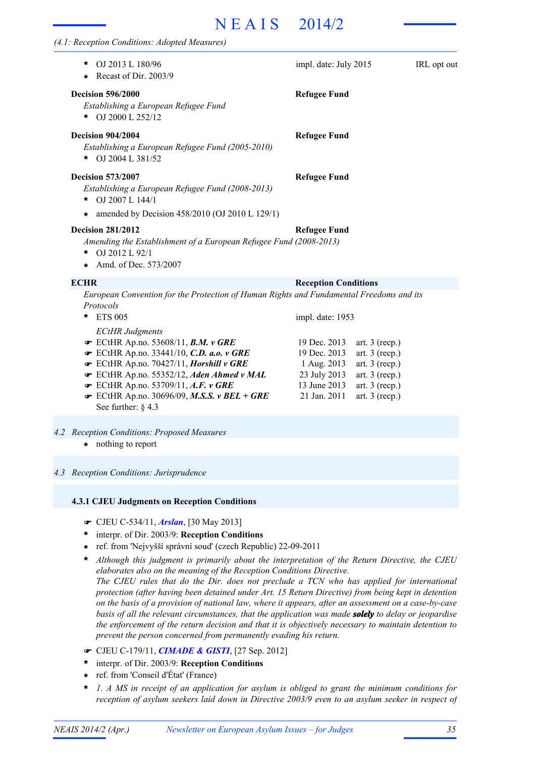# N E A I S 2014/2

| (4.1: Reception Conditions: Adopted Measures)                                                                                                               |                             |                  |             |
|-------------------------------------------------------------------------------------------------------------------------------------------------------------|-----------------------------|------------------|-------------|
| OJ 2013 L 180/96<br>×<br>Recast of Dir. 2003/9                                                                                                              | impl. date: July 2015       |                  | IRL opt out |
| <b>Decision 596/2000</b><br>Establishing a European Refugee Fund<br>OJ 2000 L 252/12<br>*                                                                   | <b>Refugee Fund</b>         |                  |             |
| <b>Decision 904/2004</b><br>Establishing a European Refugee Fund (2005-2010)<br>OJ 2004 L 381/52<br>*                                                       | <b>Refugee Fund</b>         |                  |             |
| <b>Decision 573/2007</b><br>Establishing a European Refugee Fund (2008-2013)<br>OJ 2007 L 144/1<br>$\ast$<br>amended by Decision 458/2010 (OJ 2010 L 129/1) | <b>Refugee Fund</b>         |                  |             |
| <b>Decision 281/2012</b><br>Amending the Establishment of a European Refugee Fund (2008-2013)<br>OJ 2012 L 92/1<br>$\ast$<br>Amd. of Dec. 573/2007          | <b>Refugee Fund</b>         |                  |             |
| <b>ECHR</b>                                                                                                                                                 | <b>Reception Conditions</b> |                  |             |
| European Convention for the Protection of Human Rights and Fundamental Freedoms and its<br>Protocols                                                        |                             |                  |             |
| <b>ETS 005</b><br>*<br><b>ECtHR</b> Judgments                                                                                                               | impl. date: 1953            |                  |             |
| $\bullet$ ECtHR Ap.no. 53608/11, B.M. v GRE                                                                                                                 | 19 Dec. 2013                | art. $3$ (recp.) |             |
| F ECtHR Ap.no. 33441/10, C.D. a.o. v GRE                                                                                                                    | 19 Dec. 2013                | art. $3$ (recp.) |             |
| F ECtHR Ap.no. 70427/11, Horshill v GRE                                                                                                                     | 1 Aug. 2013                 | art. $3$ (recp.) |             |
| ECtHR Ap.no. 55352/12, Aden Ahmed v MAL                                                                                                                     | 23 July 2013                | art. $3$ (recp.) |             |
| ECtHR Ap.no. 53709/11, A.F. v GRE                                                                                                                           | 13 June 2013                | art. $3$ (recp.) |             |

- **■** ECtHR Ap.no. 30696/09, M.S.S. *v BEL* + GRE 21 Jan. 2011 art. 3 (recp.) See further: § 4.3
- *4.2 Reception Conditions: Proposed Measures*
	- **\*** nothing to report

#### *4.3 Reception Conditions: Jurisprudence*

#### **4.3.1 CJEU Judgments on Reception Conditions**

- F CJEU C-534/11, *Arslan*, [30 May 2013]
- interpr. of Dir. 2003/9: **Reception Conditions \***
- ref. from 'Nejvyšší správní soud' (czech Republic) 22-09-2011 **\***
- *Although this judgment is primarily about the interpretation of the Return Directive, the CJEU elaborates also on the meaning of the Reception Conditions Directive. The CJEU rules that do the Dir. does not preclude a TCN who has applied for international protection (after having been detained under Art. 15 Return Directive) from being kept in detention* on the basis of a provision of national law, where it appears, after an assessment on a case-by-case *basis of all the relevant circumstances, that the application was made solely to delay or jeopardise the enforcement of the return decision and that it is objectively necessary to maintain detention to prevent the person concerned from permanently evading his return.* **\***
- F CJEU C-179/11, *CIMADE & GISTI*, [27 Sep. 2012]
- interpr. of Dir. 2003/9: **Reception Conditions \***
- ref. from 'Conseil d'État' (France) **\***
- *1. A MS in receipt of an application for asylum is obliged to grant the minimum conditions for reception of asylum seekers laid down in Directive 2003/9 even to an asylum seeker in respect of* **\***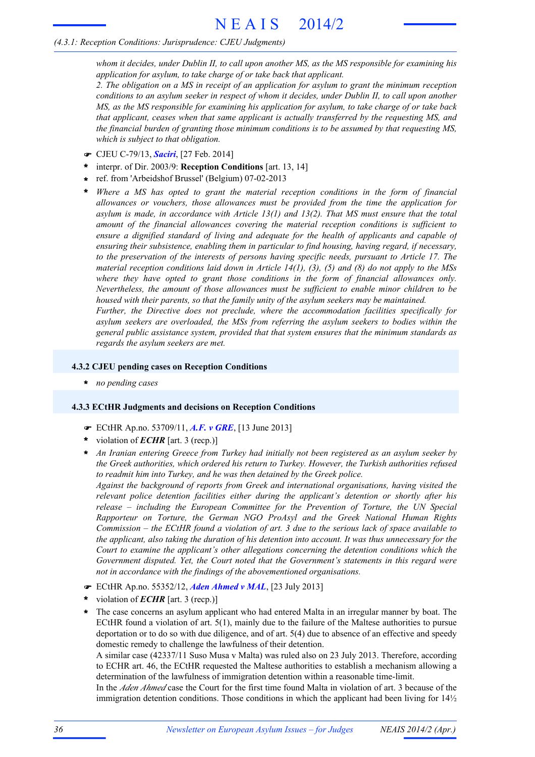# *(4.3.1: Reception Conditions: Jurisprudence: CJEU Judgments)*

*whom it decides, under Dublin II, to call upon another MS, as the MS responsible for examining his application for asylum, to take charge of or take back that applicant.*

*2. The obligation on a MS in receipt of an application for asylum to grant the minimum reception* conditions to an asylum seeker in respect of whom it decides, under Dublin II, to call upon another *MS, as the MS responsible for examining his application for asylum, to take charge of or take back that applicant, ceases when that same applicant is actually transferred by the requesting MS, and the financial burden of granting those minimum conditions is to be assumed by that requesting MS, which is subject to that obligation.*

- F CJEU C-79/13, *Saciri*, [27 Feb. 2014]
- interpr. of Dir. 2003/9: **Reception Conditions** [art. 13, 14] **\***
- ref. from 'Arbeidshof Brussel' (Belgium) 07-02-2013 **\***
- *Where a MS has opted to grant the material reception conditions in the form of financial allowances or vouchers, those allowances must be provided from the time the application for asylum is made, in accordance with Article 13(1) and 13(2). That MS must ensure that the total amount of the financial allowances covering the material reception conditions is sufficient to ensure a dignified standard of living and adequate for the health of applicants and capable of ensuring their subsistence, enabling them in particular to find housing, having regard, if necessary, to the preservation of the interests of persons having specific needs, pursuant to Article 17. The material reception conditions laid down in Article 14(1), (3), (5) and (8) do not apply to the MSs where they have opted to grant those conditions in the form of financial allowances only. Nevertheless, the amount of those allowances must be sufficient to enable minor children to be housed with their parents, so that the family unity of the asylum seekers may be maintained.* **\***

*Further, the Directive does not preclude, where the accommodation facilities specifically for asylum seekers are overloaded, the MSs from referring the asylum seekers to bodies within the general public assistance system, provided that that system ensures that the minimum standards as regards the asylum seekers are met.*

#### **4.3.2 CJEU pending cases on Reception Conditions**

**\*** *no pending cases*

#### **4.3.3 ECtHR Judgments and decisions on Reception Conditions**

- F ECtHR Ap.no. 53709/11, *A.F. v GRE*, [13 June 2013]
- violation of *ECHR* [art. 3 (recp.)] **\***
- *An Iranian entering Greece from Turkey had initially not been registered as an asylum seeker by the Greek authorities, which ordered his return to Turkey. However, the Turkish authorities refused to readmit him into Turkey, and he was then detained by the Greek police.* **\***

*Against the background of reports from Greek and international organisations, having visited the relevant police detention facilities either during the applicant's detention or shortly after his release – including the European Committee for the Prevention of Torture, the UN Special Rapporteur on Torture, the German NGO ProAsyl and the Greek National Human Rights* Commission  $-$  the ECtHR found a violation of art. 3 due to the serious lack of space available to *the applicant, also taking the duration of his detention into account. It was thus unnecessary for the Court to examine the applicant's other allegations concerning the detention conditions which the Government disputed. Yet, the Court noted that the Government's statements in this regard were not in accordance with the findings of the abovementioned organisations.*

- F ECtHR Ap.no. 55352/12, *Aden Ahmed v MAL*, [23 July 2013]
- violation of *ECHR* [art. 3 (recp.)] **\***
- The case concerns an asylum applicant who had entered Malta in an irregular manner by boat. The ECtHR found a violation of art. 5(1), mainly due to the failure of the Maltese authorities to pursue deportation or to do so with due diligence, and of art. 5(4) due to absence of an effective and speedy domestic remedy to challenge the lawfulness of their detention. **\***

A similar case (42337/11 Suso Musa v Malta) was ruled also on 23 July 2013. Therefore, according to ECHR art. 46, the ECtHR requested the Maltese authorities to establish a mechanism allowing a determination of the lawfulness of immigration detention within a reasonable time-limit.

In the *Aden Ahmed* case the Court for the first time found Malta in violation of art. 3 because of the immigration detention conditions. Those conditions in which the applicant had been living for  $14\frac{1}{2}$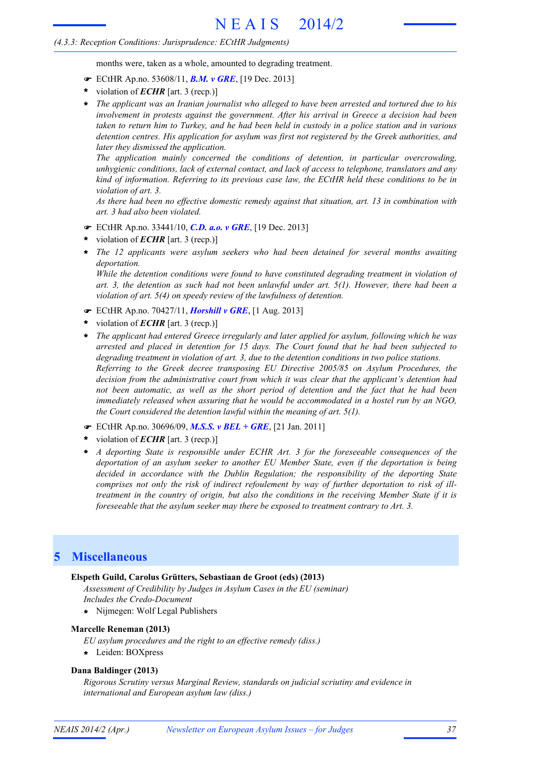# *(4.3.3: Reception Conditions: Jurisprudence: ECtHR Judgments)*

months were, taken as a whole, amounted to degrading treatment.

- F ECtHR Ap.no. 53608/11, *B.M. v GRE*, [19 Dec. 2013]
- violation of *ECHR* [art. 3 (recp.)] **\***
- *The applicant was an Iranian journalist who alleged to have been arrested and tortured due to his involvement in protests against the government. After his arrival in Greece a decision had been* taken to return him to Turkey, and he had been held in custody in a police station and in various *detention centres. His application for asylum was first not registered by the Greek authorities, and later they dismissed the application.* **\***

*The application mainly concerned the conditions of detention, in particular overcrowding, unhygienic conditions, lack of external contact, and lack of access to telephone, translators and any kind of information. Referring to its previous case law, the ECtHR held these conditions to be in violation of art. 3.*

*As there had been no effective domestic remedy against that situation, art. 13 in combination with art. 3 had also been violated.*

- F ECtHR Ap.no. 33441/10, *C.D. a.o. v GRE*, [19 Dec. 2013]
- violation of *ECHR* [art. 3 (recp.)] **\***
- *The 12 applicants were asylum seekers who had been detained for several months awaiting* **\*** *deportation.*

*While the detention conditions were found to have constituted degrading treatment in violation of art. 3, the detention as such had not been unlawful under art. 5(1). However, there had been a violation of art. 5(4) on speedy review of the lawfulness of detention.*

- F ECtHR Ap.no. 70427/11, *Horshill v GRE*, [1 Aug. 2013]
- violation of *ECHR* [art. 3 (recp.)] **\***
- *The applicant had entered Greece irregularly and later applied for asylum, following which he was arrested and placed in detention for 15 days. The Court found that he had been subjected to degrading treatment in violation of art. 3, due to the detention conditions in two police stations. Referring to the Greek decree transposing EU Directive 2005/85 on Asylum Procedures, the decision from the administrative court from which it was clear that the applicant's detention had not been automatic, as well as the short period of detention and the fact that he had been immediately released when assuring that he would be accommodated in a hostel run by an NGO, the Court considered the detention lawful within the meaning of art. 5(1).* **\***
- F ECtHR Ap.no. 30696/09, *M.S.S. v BEL + GRE*, [21 Jan. 2011]
- violation of *ECHR* [art. 3 (recp.)] **\***
- *A deporting State is responsible under ECHR Art. 3 for the foreseeable consequences of the deportation of an asylum seeker to another EU Member State, even if the deportation is being decided in accordance with the Dublin Regulation; the responsibility of the deporting State comprises not only the risk of indirect refoulement by way of further deportation to risk of illtreatment in the country of origin, but also the conditions in the receiving Member State if it is foreseeable that the asylum seeker may there be exposed to treatment contrary to Art. 3.* **\***

# **5 Miscellaneous**

#### **Elspeth Guild, Carolus Grütters, Sebastiaan de Groot (eds) (2013)**

*Assessment of Credibility by Judges in Asylum Cases in the EU (seminar) Includes the Credo-Document*

**\*** Nijmegen: Wolf Legal Publishers

#### **Marcelle Reneman (2013)**

*EU asylum procedures and the right to an effective remedy (diss.)*

**\*** Leiden: BOXpress

#### **Dana Baldinger (2013)**

*Rigorous Scrutiny versus Marginal Review, standards on judicial scriutiny and evidence in international and European asylum law (diss.)*